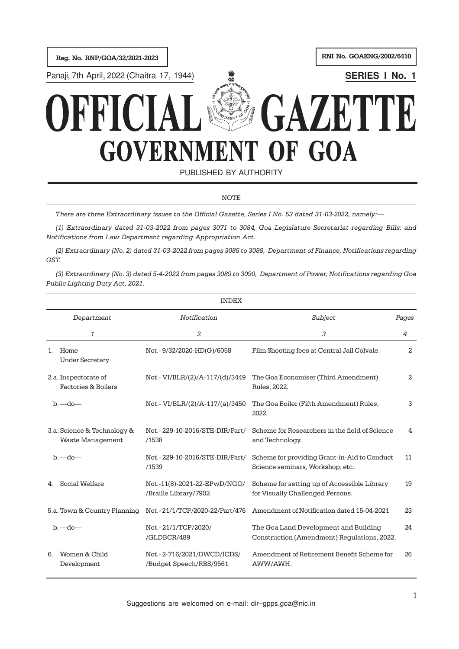Reg. No. RNP/GOA/32/2021-2023 RNI No. GOAENG/2002/6410

Panaji, 7th April, 2022 (Chaitra 17, 1944) **WELL Research Accord SERIES I No. 1** 

# GAZET K, **GOVERNMENT OF GOA**

PUBLISHED BY AUTHORITY

#### **NOTE**

There are three Extraordinary issues to the Official Gazette, Series I No. 53 dated 31-03-2022, namely:—

(1) Extraordinary dated 31-03-2022 from pages 3071 to 3084, Goa Legislature Secretariat regarding Bills; and Notifications from Law Department regarding Appropriation Act.

(2) Extraordinary (No. 2) dated 31-03-2022 from pages 3085 to 3088, Department of Finance, Notifications regarding GST.

(3) Extraordinary (No. 3) dated 5-4-2022 from pages 3089 to 3090, Department of Power, Notifications regarding Goa Public Lighting Duty Act, 2021.

|    |                                                 | <b>INDEX</b>                                          |                                                                                      |       |
|----|-------------------------------------------------|-------------------------------------------------------|--------------------------------------------------------------------------------------|-------|
|    | Department                                      | Notification                                          | Subject                                                                              | Pages |
|    | $\mathbf{1}$                                    | $\overline{a}$                                        | 3                                                                                    | 4     |
| 1. | Home<br><b>Under Secretary</b>                  | Not.-9/32/2020-HD(G)/6058                             | Film Shooting fees at Central Jail Colvale.                                          | 2     |
|    | 2.a. Inspectorate of<br>Factories & Boilers     | Not.- VI/BLR/(2)/A-117/(d)/3449                       | The Goa Economiser (Third Amendment)<br>Rules, 2022.                                 | 2     |
|    | $b.$ —do—                                       | Not.- VI/BLR/(2)/A-117/(a)/3450                       | The Goa Boiler (Fifth Amendment) Rules,<br>2022.                                     | 3     |
|    | 3.a. Science & Technology &<br>Waste Management | Not.-229-10-2016/STE-DIR/Part/<br>/1538               | Scheme for Researchers in the field of Science<br>and Technology.                    | 4     |
|    | $b.$ $-do$ $-$                                  | Not.-229-10-2016/STE-DIR/Part/<br>/1539               | Scheme for providing Grant-in-Aid to Conduct<br>Science seminars, Workshop, etc.     | 11    |
| 4. | Social Welfare                                  | Not.-11(8)-2021-22-EPwD/NGO/<br>/Braille Library/7902 | Scheme for setting up of Accessible Library<br>for Visually Challenged Persons.      | 19    |
|    | 5.a. Town & Country Planning                    | Not.-21/1/TCP/2020-22/Part/476                        | Amendment of Notification dated 15-04-2021                                           | 23    |
|    | $b.$ —do—                                       | Not.-21/1/TCP/2020/<br>/GLDBCR/489                    | The Goa Land Development and Building<br>Construction (Amendment) Regulations, 2022. | 24    |
| 6. | Women & Child<br>Development                    | Not.-2-716/2021/DWCD/ICDS/<br>/Budget Speech/RBS/9561 | Amendment of Retirement Benefit Scheme for<br>AWW/AWH.                               | 26    |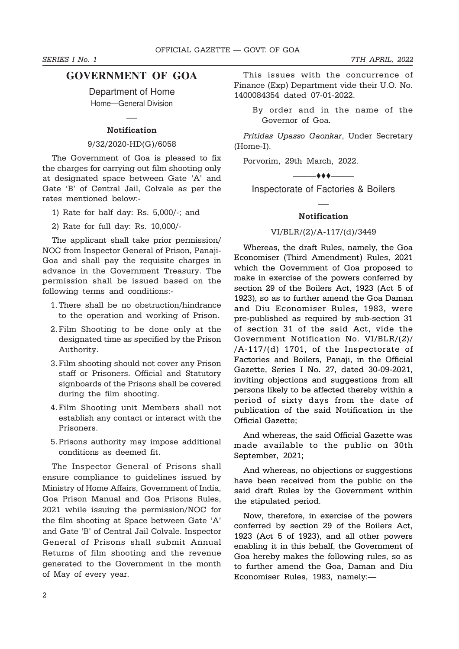# **GOVERNMENT OF GOA**

Department of Home Home—General Division

 $\overline{a}$ 

### Notification

#### 9/32/2020-HD(G)/6058

The Government of Goa is pleased to fix the charges for carrying out film shooting only at designated space between Gate 'A' and Gate 'B' of Central Jail, Colvale as per the rates mentioned below:-

- 1) Rate for half day: Rs. 5,000/-; and
- 2) Rate for full day: Rs. 10,000/-

The applicant shall take prior permission/ NOC from Inspector General of Prison, Panaji-Goa and shall pay the requisite charges in advance in the Government Treasury. The permission shall be issued based on the following terms and conditions:-

- 1.There shall be no obstruction/hindrance to the operation and working of Prison.
- 2.Film Shooting to be done only at the designated time as specified by the Prison Authority.
- 3.Film shooting should not cover any Prison staff or Prisoners. Official and Statutory signboards of the Prisons shall be covered during the film shooting.
- 4.Film Shooting unit Members shall not establish any contact or interact with the Prisoners.
- 5.Prisons authority may impose additional conditions as deemed fit.

The Inspector General of Prisons shall ensure compliance to guidelines issued by Ministry of Home Affairs, Government of India, Goa Prison Manual and Goa Prisons Rules, 2021 while issuing the permission/NOC for the film shooting at Space between Gate 'A' and Gate 'B' of Central Jail Colvale. Inspector General of Prisons shall submit Annual Returns of film shooting and the revenue generated to the Government in the month of May of every year.

This issues with the concurrence of Finance (Exp) Department vide their U.O. No. 1400084354 dated 07-01-2022.

By order and in the name of the Governor of Goa.

Pritidas Upasso Gaonkar, Under Secretary (Home-I).

Porvorim, 29th March, 2022.

 $-$ 

Inspectorate of Factories & Boilers  $\overline{a}$ 

#### **Notification**

### VI/BLR/(2)/A-117/(d)/3449

Whereas, the draft Rules, namely, the Goa Economiser (Third Amendment) Rules, 2021 which the Government of Goa proposed to make in exercise of the powers conferred by section 29 of the Boilers Act, 1923 (Act 5 of 1923), so as to further amend the Goa Daman and Diu Economiser Rules, 1983, were pre-published as required by sub-section 31 of section 31 of the said Act, vide the Government Notification No. VI/BLR/(2)/ /A-117/(d) 1701, of the Inspectorate of Factories and Boilers, Panaji, in the Official Gazette, Series I No. 27, dated 30-09-2021, inviting objections and suggestions from all persons likely to be affected thereby within a period of sixty days from the date of publication of the said Notification in the Official Gazette;

And whereas, the said Official Gazette was made available to the public on 30th September, 2021;

And whereas, no objections or suggestions have been received from the public on the said draft Rules by the Government within the stipulated period.

Now, therefore, in exercise of the powers conferred by section 29 of the Boilers Act, 1923 (Act 5 of 1923), and all other powers enabling it in this behalf, the Government of Goa hereby makes the following rules, so as to further amend the Goa, Daman and Diu Economiser Rules, 1983, namely:—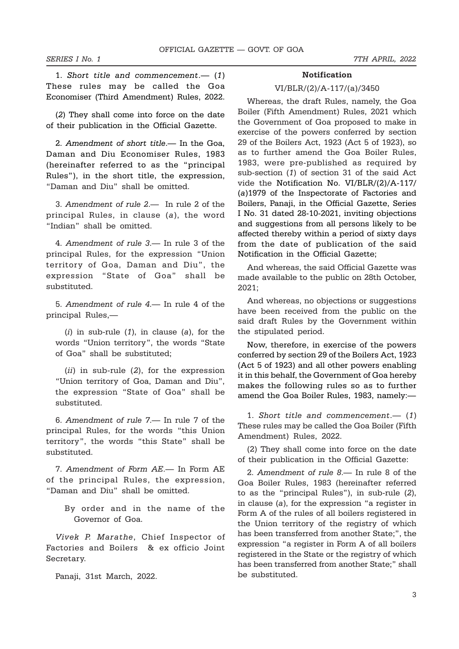1. Short title and commencement.— (1) These rules may be called the Goa Economiser (Third Amendment) Rules, 2022.

(2) They shall come into force on the date of their publication in the Official Gazette.

2. Amendment of short title.— In the Goa, Daman and Diu Economiser Rules, 1983 (hereinafter referred to as the "principal Rules"), in the short title, the expression, "Daman and Diu" shall be omitted.

3. Amendment of rule 2.— In rule 2 of the principal Rules, in clause (a), the word "Indian" shall be omitted.

4. Amendment of rule 3.— In rule 3 of the principal Rules, for the expression "Union territory of Goa, Daman and Diu", the expression "State of Goa" shall be substituted.

5. Amendment of rule 4.— In rule 4 of the principal Rules,—

 $(i)$  in sub-rule  $(1)$ , in clause  $(a)$ , for the words "Union territory", the words "State of Goa" shall be substituted;

(*ii*) in sub-rule (2), for the expression "Union territory of Goa, Daman and Diu", the expression "State of Goa" shall be substituted.

6. Amendment of rule 7.— In rule 7 of the principal Rules, for the words "this Union territory", the words "this State" shall be substituted.

7. Amendment of Form AE.— In Form AE of the principal Rules, the expression, "Daman and Diu" shall be omitted.

> By order and in the name of the Governor of Goa.

Vivek P. Marathe, Chief Inspector of Factories and Boilers & ex officio Joint Secretary.

Panaji, 31st March, 2022.

#### Notification

#### VI/BLR/(2)/A-117/(a)/3450

Whereas, the draft Rules, namely, the Goa Boiler (Fifth Amendment) Rules, 2021 which the Government of Goa proposed to make in exercise of the powers conferred by section 29 of the Boilers Act, 1923 (Act 5 of 1923), so as to further amend the Goa Boiler Rules, 1983, were pre-published as required by sub-section (1) of section 31 of the said Act vide the Notification No. VI/BLR/(2)/A-117/ (a)1979 of the Inspectorate of Factories and Boilers, Panaji, in the Official Gazette, Series I No. 31 dated 28-10-2021, inviting objections and suggestions from all persons likely to be affected thereby within a period of sixty days from the date of publication of the said Notification in the Official Gazette;

And whereas, the said Official Gazette was made available to the public on 28th October, 2021;

And whereas, no objections or suggestions have been received from the public on the said draft Rules by the Government within the stipulated period.

Now, therefore, in exercise of the powers conferred by section 29 of the Boilers Act, 1923 (Act 5 of 1923) and all other powers enabling it in this behalf, the Government of Goa hereby makes the following rules so as to further amend the Goa Boiler Rules, 1983, namely:—

1. Short title and commencement.— (1) These rules may be called the Goa Boiler (Fifth Amendment) Rules, 2022.

(2) They shall come into force on the date of their publication in the Official Gazette:

2. Amendment of rule 8.— In rule 8 of the Goa Boiler Rules, 1983 (hereinafter referred to as the "principal Rules"), in sub-rule (2), in clause (a), for the expression "a register in Form A of the rules of all boilers registered in the Union territory of the registry of which has been transferred from another State;", the expression "a register in Form A of all boilers registered in the State or the registry of which has been transferred from another State;" shall be substituted.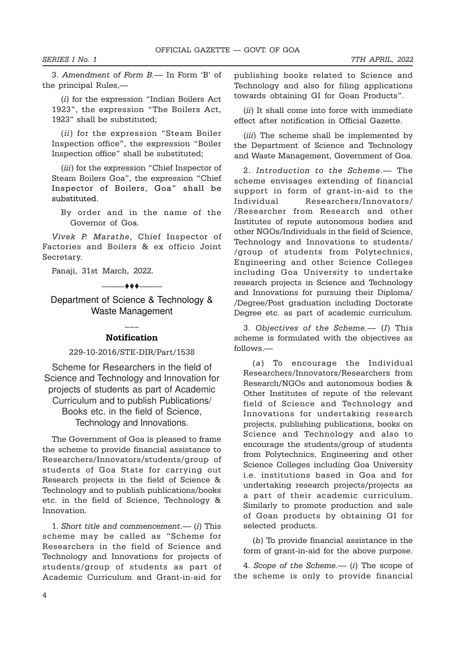3. Amendment of Form B.— In Form 'B' of the principal Rules,—

(i) for the expression "Indian Boilers Act 1923", the expression "The Boilers Act, 1923" shall be substituted;

(ii) for the expression "Steam Boiler Inspection office", the expression "Boiler Inspection office" shall be substituted;

(iii) for the expression "Chief Inspector of Steam Boilers Goa", the expression "Chief Inspector of Boilers, Goa" shall be substituted.

By order and in the name of the Governor of Goa.

Vivek P. Marathe, Chief Inspector of Factories and Boilers & ex officio Joint Secretary.

Panaji, 31st March, 2022.

Department of Science & Technology & Waste Management

—— $\leftrightarrow$ 

#### ––– **Notification**

#### 229-10-2016/STE-DIR/Part/1538

Scheme for Researchers in the field of Science and Technology and Innovation for projects of students as part of Academic Curriculum and to publish Publications/ Books etc. in the field of Science, Technology and Innovations.

The Government of Goa is pleased to frame the scheme to provide financial assistance to Researchers/Innovators/students/group of students of Goa State for carrying out Research projects in the field of Science & Technology and to publish publications/books etc. in the field of Science, Technology & Innovation.

1. Short title and commencement.— (i) This scheme may be called as "Scheme for Researchers in the field of Science and Technology and Innovations for projects of students/group of students as part of Academic Curriculum and Grant-in-aid for

publishing books related to Science and Technology and also for filing applications towards obtaining GI for Goan Products".

(*ii*) It shall come into force with immediate effect after notification in Official Gazette.

(*iii*) The scheme shall be implemented by the Department of Science and Technology and Waste Management, Government of Goa.

2. Introduction to the Scheme.— The scheme envisages extending of financial support in form of grant-in-aid to the Individual Researchers/Innovators/ /Researcher from Research and other Institutes of repute autonomous bodies and other NGOs/Individuals in the field of Science, Technology and Innovations to students/ /group of students from Polytechnics, Engineering and other Science Colleges including Goa University to undertake research projects in Science and Technology and Innovations for pursuing their Diploma/ /Degree/Post graduation including Doctorate Degree etc. as part of academic curriculum.

3. Objectives of the Scheme.— (I) This scheme is formulated with the objectives as follows.—

(a) To encourage the Individual Researchers/Innovators/Researchers from Research/NGOs and autonomous bodies & Other Institutes of repute of the relevant field of Science and Technology and Innovations for undertaking research projects, publishing publications, books on Science and Technology and also to encourage the students/group of students from Polytechnics, Engineering and other Science Colleges including Goa University i.e. institutions based in Goa and for undertaking research projects/projects as a part of their academic curriculum. Similarly to promote production and sale of Goan products by obtaining GI for selected products.

(b) To provide financial assistance in the form of grant-in-aid for the above purpose.

4. Scope of the Scheme.— (i) The scope of the scheme is only to provide financial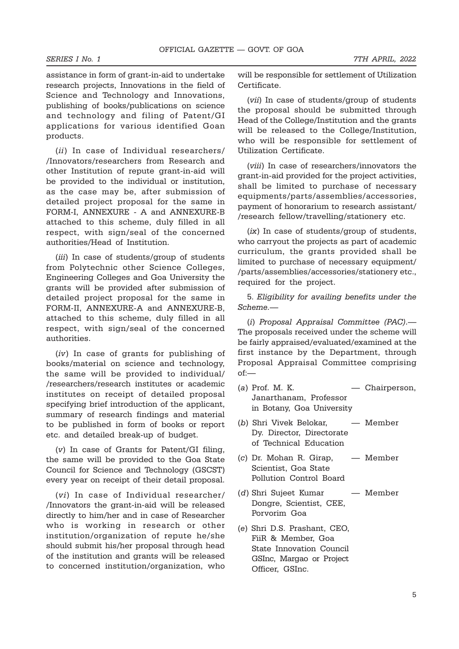assistance in form of grant-in-aid to undertake research projects, Innovations in the field of Science and Technology and Innovations, publishing of books/publications on science and technology and filing of Patent/GI applications for various identified Goan products.

(ii) In case of Individual researchers/ /Innovators/researchers from Research and other Institution of repute grant-in-aid will be provided to the individual or institution, as the case may be, after submission of detailed project proposal for the same in FORM-I, ANNEXURE - A and ANNEXURE-B attached to this scheme, duly filled in all respect, with sign/seal of the concerned authorities/Head of Institution.

(iii) In case of students/group of students from Polytechnic other Science Colleges, Engineering Colleges and Goa University the grants will be provided after submission of detailed project proposal for the same in FORM-II, ANNEXURE-A and ANNEXURE-B, attached to this scheme, duly filled in all respect, with sign/seal of the concerned authorities.

(iv) In case of grants for publishing of books/material on science and technology, the same will be provided to individual/ /researchers/research institutes or academic institutes on receipt of detailed proposal specifying brief introduction of the applicant, summary of research findings and material to be published in form of books or report etc. and detailed break-up of budget.

(v) In case of Grants for Patent/GI filing, the same will be provided to the Goa State Council for Science and Technology (GSCST) every year on receipt of their detail proposal.

(vi) In case of Individual researcher/ /Innovators the grant-in-aid will be released directly to him/her and in case of Researcher who is working in research or other institution/organization of repute he/she should submit his/her proposal through head of the institution and grants will be released to concerned institution/organization, who will be responsible for settlement of Utilization Certificate.

(vii) In case of students/group of students the proposal should be submitted through Head of the College/Institution and the grants will be released to the College/Institution, who will be responsible for settlement of Utilization Certificate.

(viii) In case of researchers/innovators the grant-in-aid provided for the project activities, shall be limited to purchase of necessary equipments/parts/assemblies/accessories, payment of honorarium to research assistant/ /research fellow/travelling/stationery etc.

(ix) In case of students/group of students, who carryout the projects as part of academic curriculum, the grants provided shall be limited to purchase of necessary equipment/ /parts/assemblies/accessories/stationery etc., required for the project.

5. Eligibility for availing benefits under the Scheme.—

(i) Proposal Appraisal Committee (PAC).— The proposals received under the scheme will be fairly appraised/evaluated/examined at the first instance by the Department, through Proposal Appraisal Committee comprising of:—

- (a) Prof. M. K. Chairperson, Janarthanam, Professor in Botany, Goa University
- (b) Shri Vivek Belokar, Member Dy. Director, Directorate of Technical Education
- (c) Dr. Mohan R. Girap, Member Scientist, Goa State Pollution Control Board
- (d) Shri Sujeet Kumar Member Dongre, Scientist, CEE, Porvorim Goa
- (e) Shri D.S. Prashant, CEO, FiiR & Member, Goa State Innovation Council GSInc, Margao or Project Officer, GSInc.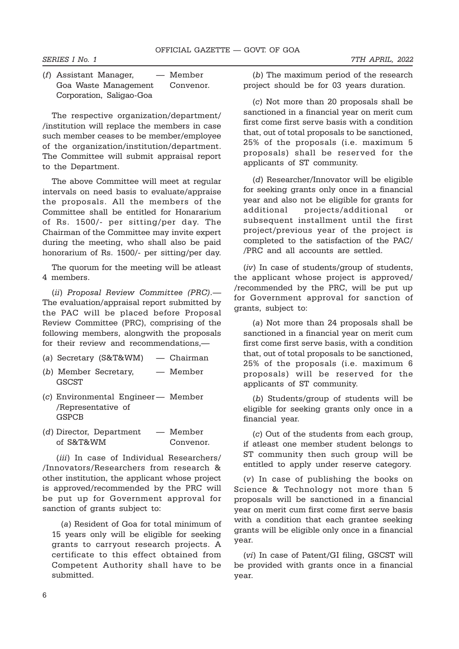| (f) Assistant Manager,   | — Member  |
|--------------------------|-----------|
| Goa Waste Management     | Convenor. |
| Corporation, Saligao-Goa |           |

The respective organization/department/ /institution will replace the members in case such member ceases to be member/employee of the organization/institution/department. The Committee will submit appraisal report to the Department.

The above Committee will meet at regular intervals on need basis to evaluate/appraise the proposals. All the members of the Committee shall be entitled for Honararium of Rs. 1500/- per sitting/per day. The Chairman of the Committee may invite expert during the meeting, who shall also be paid honorarium of Rs. 1500/- per sitting/per day.

The quorum for the meeting will be atleast 4 members.

(ii) Proposal Review Committee (PRC).— The evaluation/appraisal report submitted by the PAC will be placed before Proposal Review Committee (PRC), comprising of the following members, alongwith the proposals for their review and recommendations,—

- (a) Secretary (S&T&WM) Chairman
- (b) Member Secretary, Member **GSCST**
- (c) Environmental Engineer Member /Representative of GSPCB
- (d) Director, Department Member of S&T&WM Convenor.

(*iii*) In case of Individual Researchers/ /Innovators/Researchers from research & other institution, the applicant whose project is approved/recommended by the PRC will be put up for Government approval for sanction of grants subject to:

(a) Resident of Goa for total minimum of 15 years only will be eligible for seeking grants to carryout research projects. A certificate to this effect obtained from Competent Authority shall have to be submitted.

(b) The maximum period of the research project should be for 03 years duration.

(c) Not more than 20 proposals shall be sanctioned in a financial year on merit cum first come first serve basis with a condition that, out of total proposals to be sanctioned, 25% of the proposals (i.e. maximum 5 proposals) shall be reserved for the applicants of ST community.

(d) Researcher/Innovator will be eligible for seeking grants only once in a financial year and also not be eligible for grants for additional projects/additional or subsequent installment until the first project/previous year of the project is completed to the satisfaction of the PAC/ /PRC and all accounts are settled.

(iv) In case of students/group of students, the applicant whose project is approved/ /recommended by the PRC, will be put up for Government approval for sanction of grants, subject to:

(a) Not more than 24 proposals shall be sanctioned in a financial year on merit cum first come first serve basis, with a condition that, out of total proposals to be sanctioned, 25% of the proposals (i.e. maximum 6 proposals) will be reserved for the applicants of ST community.

(b) Students/group of students will be eligible for seeking grants only once in a financial year.

(c) Out of the students from each group, if atleast one member student belongs to ST community then such group will be entitled to apply under reserve category.

(v) In case of publishing the books on Science & Technology not more than 5 proposals will be sanctioned in a financial year on merit cum first come first serve basis with a condition that each grantee seeking grants will be eligible only once in a financial year.

(vi) In case of Patent/GI filing, GSCST will be provided with grants once in a financial year.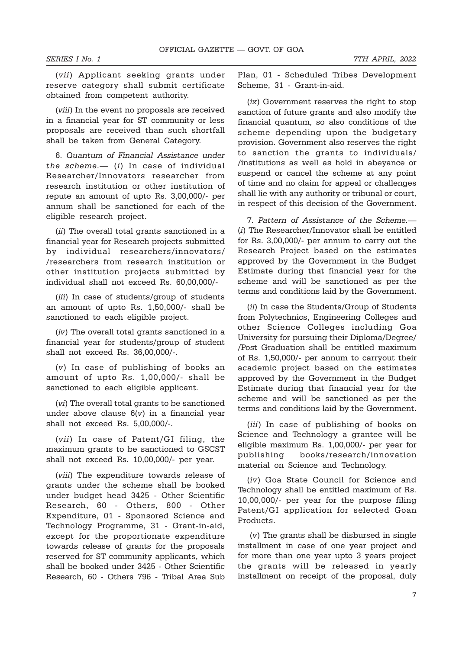(vii) Applicant seeking grants under reserve category shall submit certificate obtained from competent authority.

(viii) In the event no proposals are received in a financial year for ST community or less proposals are received than such shortfall shall be taken from General Category.

6. Quantum of Financial Assistance under the scheme. $-$  (i) In case of individual Researcher/Innovators researcher from research institution or other institution of repute an amount of upto Rs. 3,00,000/- per annum shall be sanctioned for each of the eligible research project.

(ii) The overall total grants sanctioned in a financial year for Research projects submitted by individual researchers/innovators/ /researchers from research institution or other institution projects submitted by individual shall not exceed Rs. 60,00,000/-

(iii) In case of students/group of students an amount of upto Rs. 1,50,000/- shall be sanctioned to each eligible project.

(iv) The overall total grants sanctioned in a financial year for students/group of student shall not exceed Rs. 36,00,000/-.

(v) In case of publishing of books an amount of upto Rs. 1,00,000/- shall be sanctioned to each eligible applicant.

(vi) The overall total grants to be sanctioned under above clause  $6(v)$  in a financial year shall not exceed Rs. 5,00,000/-.

(vii) In case of Patent/GI filing, the maximum grants to be sanctioned to GSCST shall not exceed Rs. 10,00,000/- per year.

(viii) The expenditure towards release of grants under the scheme shall be booked under budget head 3425 - Other Scientific Research, 60 - Others, 800 - Other Expenditure, 01 - Sponsored Science and Technology Programme, 31 - Grant-in-aid, except for the proportionate expenditure towards release of grants for the proposals reserved for ST community applicants, which shall be booked under 3425 - Other Scientific Research, 60 - Others 796 - Tribal Area Sub

Plan, 01 - Scheduled Tribes Development Scheme, 31 - Grant-in-aid.

(ix) Government reserves the right to stop sanction of future grants and also modify the financial quantum, so also conditions of the scheme depending upon the budgetary provision. Government also reserves the right to sanction the grants to individuals/ /institutions as well as hold in abeyance or suspend or cancel the scheme at any point of time and no claim for appeal or challenges shall lie with any authority or tribunal or court, in respect of this decision of the Government.

7. Pattern of Assistance of the Scheme.— (i) The Researcher/Innovator shall be entitled for Rs. 3,00,000/- per annum to carry out the Research Project based on the estimates approved by the Government in the Budget Estimate during that financial year for the scheme and will be sanctioned as per the terms and conditions laid by the Government.

(ii) In case the Students/Group of Students from Polytechnics, Engineering Colleges and other Science Colleges including Goa University for pursuing their Diploma/Degree/ /Post Graduation shall be entitled maximum of Rs. 1,50,000/- per annum to carryout their academic project based on the estimates approved by the Government in the Budget Estimate during that financial year for the scheme and will be sanctioned as per the terms and conditions laid by the Government.

(*iii*) In case of publishing of books on Science and Technology a grantee will be eligible maximum Rs. 1,00,000/- per year for publishing books/research/innovation material on Science and Technology.

(iv) Goa State Council for Science and Technology shall be entitled maximum of Rs. 10,00,000/- per year for the purpose filing Patent/GI application for selected Goan Products.

 (v) The grants shall be disbursed in single installment in case of one year project and for more than one year upto 3 years project the grants will be released in yearly installment on receipt of the proposal, duly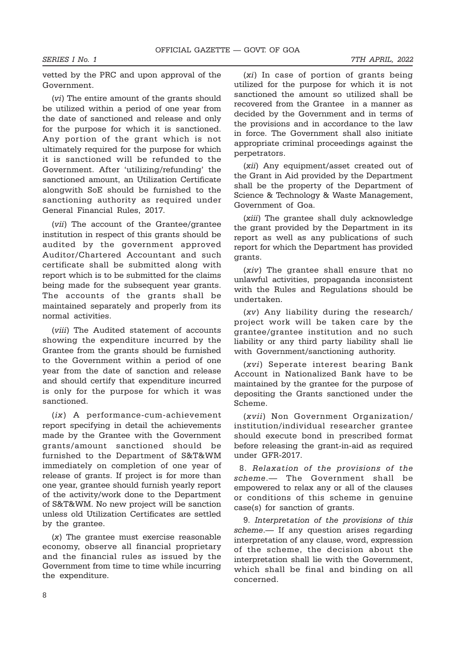vetted by the PRC and upon approval of the Government.

(vi) The entire amount of the grants should be utilized within a period of one year from the date of sanctioned and release and only for the purpose for which it is sanctioned. Any portion of the grant which is not ultimately required for the purpose for which it is sanctioned will be refunded to the Government. After 'utilizing/refunding' the sanctioned amount, an Utilization Certificate alongwith SoE should be furnished to the sanctioning authority as required under General Financial Rules, 2017.

(vii) The account of the Grantee/grantee institution in respect of this grants should be audited by the government approved Auditor/Chartered Accountant and such certificate shall be submitted along with report which is to be submitted for the claims being made for the subsequent year grants. The accounts of the grants shall be maintained separately and properly from its normal activities.

(viii) The Audited statement of accounts showing the expenditure incurred by the Grantee from the grants should be furnished to the Government within a period of one year from the date of sanction and release and should certify that expenditure incurred is only for the purpose for which it was sanctioned.

(ix) A performance-cum-achievement report specifying in detail the achievements made by the Grantee with the Government grants/amount sanctioned should be furnished to the Department of S&T&WM immediately on completion of one year of release of grants. If project is for more than one year, grantee should furnish yearly report of the activity/work done to the Department of S&T&WM. No new project will be sanction unless old Utilization Certificates are settled by the grantee.

(x) The grantee must exercise reasonable economy, observe all financial proprietary and the financial rules as issued by the Government from time to time while incurring the expenditure.

(xi) In case of portion of grants being utilized for the purpose for which it is not sanctioned the amount so utilized shall be recovered from the Grantee in a manner as decided by the Government and in terms of the provisions and in accordance to the law in force. The Government shall also initiate appropriate criminal proceedings against the perpetrators.

(xii) Any equipment/asset created out of the Grant in Aid provided by the Department shall be the property of the Department of Science & Technology & Waste Management, Government of Goa.

(xiii) The grantee shall duly acknowledge the grant provided by the Department in its report as well as any publications of such report for which the Department has provided grants.

(xiv) The grantee shall ensure that no unlawful activities, propaganda inconsistent with the Rules and Regulations should be undertaken.

(xv) Any liability during the research/ project work will be taken care by the grantee/grantee institution and no such liability or any third party liability shall lie with Government/sanctioning authority.

(xvi) Seperate interest bearing Bank Account in Nationalized Bank have to be maintained by the grantee for the purpose of depositing the Grants sanctioned under the Scheme.

(xvii) Non Government Organization/ institution/individual researcher grantee should execute bond in prescribed format before releasing the grant-in-aid as required under GFR-2017.

 8. Relaxation of the provisions of the scheme.— The Government shall be empowered to relax any or all of the clauses or conditions of this scheme in genuine case(s) for sanction of grants.

9. Interpretation of the provisions of this scheme.— If any question arises regarding interpretation of any clause, word, expression of the scheme, the decision about the interpretation shall lie with the Government, which shall be final and binding on all concerned.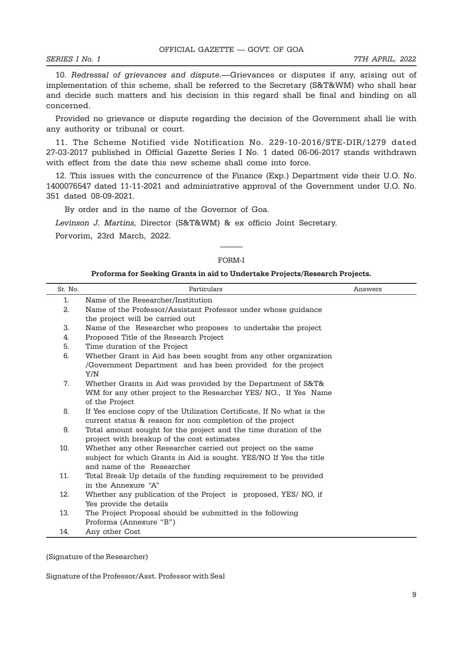10. Redressal of grievances and dispute.—Grievances or disputes if any, arising out of implementation of this scheme, shall be referred to the Secretary (S&T&WM) who shall hear and decide such matters and his decision in this regard shall be final and binding on all concerned.

Provided no grievance or dispute regarding the decision of the Government shall lie with any authority or tribunal or court.

11. The Scheme Notified vide Notification No. 229-10-2016/STE-DIR/1279 dated 27-03-2017 published in Official Gazette Series I No. 1 dated 06-06-2017 stands withdrawn with effect from the date this new scheme shall come into force.

12. This issues with the concurrence of the Finance (Exp.) Department vide their U.O. No. 1400076547 dated 11-11-2021 and administrative approval of the Government under U.O. No. 351 dated 08-09-2021.

By order and in the name of the Governor of Goa.

Levinson J. Martins, Director (S&T&WM) & ex officio Joint Secretary.

Porvorim, 23rd March, 2022.

# ——— FORM-I

#### Proforma for Seeking Grants in aid to Undertake Projects/Research Projects.

| Sr. No. | Particulars                                                                                                                        | Answers |
|---------|------------------------------------------------------------------------------------------------------------------------------------|---------|
| 1.      | Name of the Researcher/Institution                                                                                                 |         |
| 2.      | Name of the Professor/Assistant Professor under whose guidance                                                                     |         |
|         | the project will be carried out                                                                                                    |         |
| 3.      | Name of the Researcher who proposes to undertake the project                                                                       |         |
| 4.      | Proposed Title of the Research Project                                                                                             |         |
| 5.      | Time duration of the Project                                                                                                       |         |
| 6.      | Whether Grant in Aid has been sought from any other organization                                                                   |         |
|         | /Government Department and has been provided for the project                                                                       |         |
|         | Y/N                                                                                                                                |         |
| 7.      | Whether Grants in Aid was provided by the Department of S&T&                                                                       |         |
|         | WM for any other project to the Researcher YES/NO., If Yes Name                                                                    |         |
|         | of the Project                                                                                                                     |         |
| 8.      | If Yes enclose copy of the Utilization Certificate. If No what is the                                                              |         |
|         | current status & reason for non completion of the project                                                                          |         |
| 9.      | Total amount sought for the project and the time duration of the                                                                   |         |
| 10.     | project with breakup of the cost estimates                                                                                         |         |
|         | Whether any other Researcher carried out project on the same<br>subject for which Grants in Aid is sought. YES/NO If Yes the title |         |
|         | and name of the Researcher                                                                                                         |         |
| 11.     | Total Break Up details of the funding requirement to be provided                                                                   |         |
|         | in the Annexure "A"                                                                                                                |         |
| 12.     | Whether any publication of the Project is proposed, YES/NO, if                                                                     |         |
|         | Yes provide the details                                                                                                            |         |
| 13.     | The Project Proposal should be submitted in the following                                                                          |         |
|         | Proforma (Annexure "B")                                                                                                            |         |
| 14.     | Any other Cost                                                                                                                     |         |

(Signature of the Researcher)

Signature of the Professor/Asst. Professor with Seal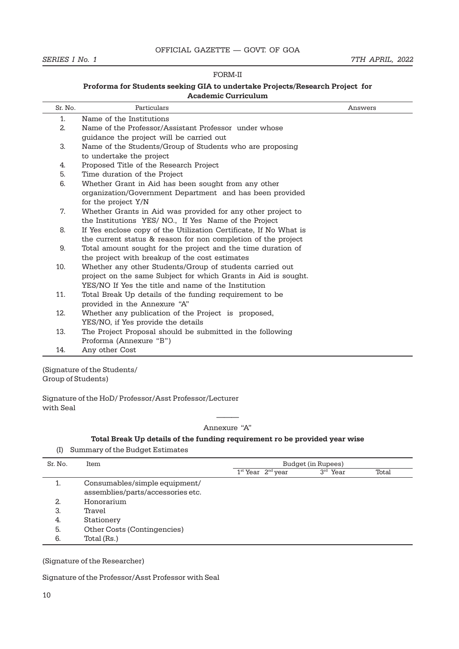#### SERIES I No. 1 7TH APRIL, 2022

#### FORM-II

#### Proforma for Students seeking GIA to undertake Projects/Research Project for Academic Curriculum

| Sr. No. | Particulars                                                       | Answers |
|---------|-------------------------------------------------------------------|---------|
| 1.      | Name of the Institutions                                          |         |
| 2.      | Name of the Professor/Assistant Professor under whose             |         |
|         | quidance the project will be carried out                          |         |
| 3.      | Name of the Students/Group of Students who are proposing          |         |
|         | to undertake the project                                          |         |
| 4.      | Proposed Title of the Research Project                            |         |
| 5.      | Time duration of the Project                                      |         |
| 6.      | Whether Grant in Aid has been sought from any other               |         |
|         | organization/Government Department and has been provided          |         |
|         | for the project Y/N                                               |         |
| 7.      | Whether Grants in Aid was provided for any other project to       |         |
|         | the Institutions YES/NO., If Yes Name of the Project              |         |
| 8.      | If Yes enclose copy of the Utilization Certificate, If No What is |         |
|         | the current status & reason for non completion of the project     |         |
| 9.      | Total amount sought for the project and the time duration of      |         |
|         | the project with breakup of the cost estimates                    |         |
| 10.     | Whether any other Students/Group of students carried out          |         |
|         | project on the same Subject for which Grants in Aid is sought.    |         |
|         | YES/NO If Yes the title and name of the Institution               |         |
| 11.     | Total Break Up details of the funding requirement to be           |         |
|         | provided in the Annexure "A"                                      |         |
| 12.     | Whether any publication of the Project is proposed,               |         |
|         | YES/NO, if Yes provide the details                                |         |
| 13.     | The Project Proposal should be submitted in the following         |         |
|         | Proforma (Annexure "B")                                           |         |
| 14.     | Any other Cost                                                    |         |

(Signature of the Students/ Group of Students)

Signature of the HoD/ Professor/Asst Professor/Lecturer with Seal

> ——— Annexure "A"

#### Total Break Up details of the funding requirement ro be provided year wise

(I) Summary of the Budget Estimates

| Sr. No. | Item                              | Budget (in Rupees)    |            |       |
|---------|-----------------------------------|-----------------------|------------|-------|
|         |                                   | $1st$ Year $2nd$ year | $3rd$ Year | Total |
|         | Consumables/simple equipment/     |                       |            |       |
|         | assemblies/parts/accessories etc. |                       |            |       |
| 2.      | Honorarium                        |                       |            |       |
| 3.      | Travel                            |                       |            |       |
| -4.     | Stationery                        |                       |            |       |
| 5.      | Other Costs (Contingencies)       |                       |            |       |
| 6.      | Total (Rs.)                       |                       |            |       |

(Signature of the Researcher)

Signature of the Professor/Asst Professor with Seal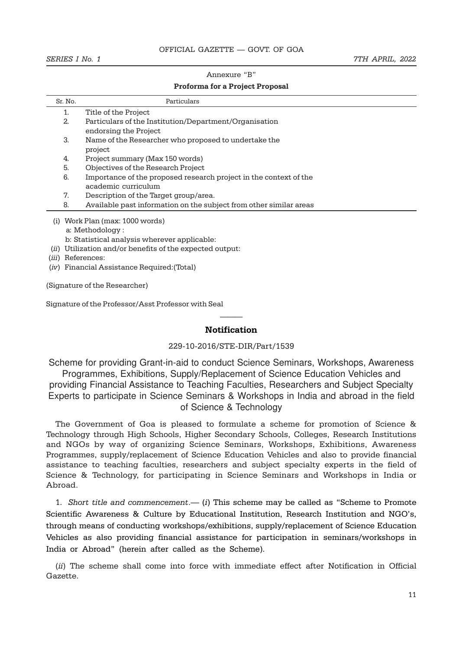#### Annexure "B"

#### Proforma for a Project Proposal

| Sr. No.                            | Particulars                                                        |  |  |  |
|------------------------------------|--------------------------------------------------------------------|--|--|--|
|                                    | Title of the Project                                               |  |  |  |
| 2.                                 | Particulars of the Institution/Department/Organisation             |  |  |  |
|                                    | endorsing the Project                                              |  |  |  |
| 3.                                 | Name of the Researcher who proposed to undertake the               |  |  |  |
|                                    | project                                                            |  |  |  |
| 4.                                 | Project summary (Max 150 words)                                    |  |  |  |
| 5.                                 | Objectives of the Research Project                                 |  |  |  |
| 6.                                 | Importance of the proposed research project in the context of the  |  |  |  |
|                                    | academic curriculum                                                |  |  |  |
| 7.                                 | Description of the Target group/area.                              |  |  |  |
| 8.                                 | Available past information on the subject from other similar areas |  |  |  |
| Work Plan (max: 1000 words)<br>(i) |                                                                    |  |  |  |
|                                    | a: Methodology :                                                   |  |  |  |
|                                    | b: Statistical analysis wherever applicable:                       |  |  |  |

- (ii) Utilization and/or benefits of the expected output:
- (iii) References:
- (iv) Financial Assistance Required:(Total)

(Signature of the Researcher)

Signature of the Professor/Asst Professor with Seal

# ——— Notification

#### 229-10-2016/STE-DIR/Part/1539

Scheme for providing Grant-in-aid to conduct Science Seminars, Workshops, Awareness Programmes, Exhibitions, Supply/Replacement of Science Education Vehicles and providing Financial Assistance to Teaching Faculties, Researchers and Subject Specialty Experts to participate in Science Seminars & Workshops in India and abroad in the field of Science & Technology

The Government of Goa is pleased to formulate a scheme for promotion of Science & Technology through High Schools, Higher Secondary Schools, Colleges, Research Institutions and NGOs by way of organizing Science Seminars, Workshops, Exhibitions, Awareness Programmes, supply/replacement of Science Education Vehicles and also to provide financial assistance to teaching faculties, researchers and subject specialty experts in the field of Science & Technology, for participating in Science Seminars and Workshops in India or Abroad.

1. Short title and commencement.—  $(i)$  This scheme may be called as "Scheme to Promote Scientific Awareness & Culture by Educational Institution, Research Institution and NGO's, through means of conducting workshops/exhibitions, supply/replacement of Science Education Vehicles as also providing financial assistance for participation in seminars/workshops in India or Abroad" (herein after called as the Scheme).

(ii) The scheme shall come into force with immediate effect after Notification in Official Gazette.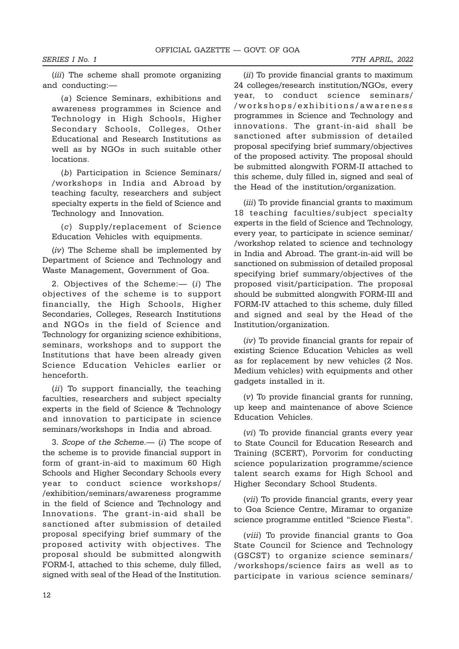(*iii*) The scheme shall promote organizing and conducting:—

(a) Science Seminars, exhibitions and awareness programmes in Science and Technology in High Schools, Higher Secondary Schools, Colleges, Other Educational and Research Institutions as well as by NGOs in such suitable other locations.

(b) Participation in Science Seminars/ /workshops in India and Abroad by teaching faculty, researchers and subject specialty experts in the field of Science and Technology and Innovation.

(c) Supply/replacement of Science Education Vehicles with equipments.

(iv) The Scheme shall be implemented by Department of Science and Technology and Waste Management, Government of Goa.

2. Objectives of the Scheme:— (i) The objectives of the scheme is to support financially, the High Schools, Higher Secondaries, Colleges, Research Institutions and NGOs in the field of Science and Technology for organizing science exhibitions, seminars, workshops and to support the Institutions that have been already given Science Education Vehicles earlier or henceforth.

(ii) To support financially, the teaching faculties, researchers and subject specialty experts in the field of Science & Technology and innovation to participate in science seminars/workshops in India and abroad.

3. Scope of the Scheme.— (i) The scope of the scheme is to provide financial support in form of grant-in-aid to maximum 60 High Schools and Higher Secondary Schools every year to conduct science workshops/ /exhibition/seminars/awareness programme in the field of Science and Technology and Innovations. The grant-in-aid shall be sanctioned after submission of detailed proposal specifying brief summary of the proposed activity with objectives. The proposal should be submitted alongwith FORM-I, attached to this scheme, duly filled, signed with seal of the Head of the Institution.

(ii) To provide financial grants to maximum 24 colleges/research institution/NGOs, every year, to conduct science seminars/ /workshops/exhibitions/awareness programmes in Science and Technology and innovations. The grant-in-aid shall be sanctioned after submission of detailed proposal specifying brief summary/objectives of the proposed activity. The proposal should be submitted alongwith FORM-II attached to this scheme, duly filled in, signed and seal of the Head of the institution/organization.

(iii) To provide financial grants to maximum 18 teaching faculties/subject specialty experts in the field of Science and Technology, every year, to participate in science seminar/ /workshop related to science and technology in India and Abroad. The grant-in-aid will be sanctioned on submission of detailed proposal specifying brief summary/objectives of the proposed visit/participation. The proposal should be submitted alongwith FORM-III and FORM-IV attached to this scheme, duly filled and signed and seal by the Head of the Institution/organization.

(iv) To provide financial grants for repair of existing Science Education Vehicles as well as for replacement by new vehicles (2 Nos. Medium vehicles) with equipments and other gadgets installed in it.

(v) To provide financial grants for running, up keep and maintenance of above Science Education Vehicles.

(vi) To provide financial grants every year to State Council for Education Research and Training (SCERT), Porvorim for conducting science popularization programme/science talent search exams for High School and Higher Secondary School Students.

(vii) To provide financial grants, every year to Goa Science Centre, Miramar to organize science programme entitled "Science Fiesta".

(viii) To provide financial grants to Goa State Council for Science and Technology (GSCST) to organize science seminars/ /workshops/science fairs as well as to participate in various science seminars/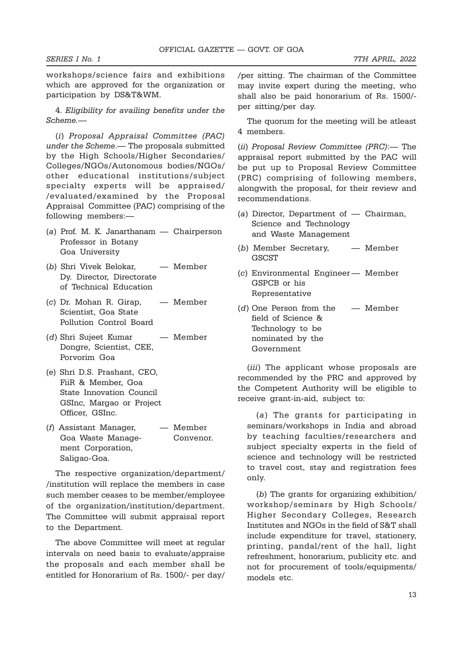workshops/science fairs and exhibitions which are approved for the organization or participation by DS&T&WM.

4. Eligibility for availing benefits under the Scheme.—

(i) Proposal Appraisal Committee (PAC) under the Scheme.— The proposals submitted by the High Schools/Higher Secondaries/ Colleges/NGOs/Autonomous bodies/NGOs/ other educational institutions/subject specialty experts will be appraised/ /evaluated/examined by the Proposal Appraisal Committee (PAC) comprising of the following members:—

- (a) Prof. M. K. Janarthanam Chairperson Professor in Botany Goa University
- (b) Shri Vivek Belokar, Member Dy. Director, Directorate of Technical Education
- (c) Dr. Mohan R. Girap, Member Scientist, Goa State Pollution Control Board
- (d) Shri Sujeet Kumar Member Dongre, Scientist, CEE, Porvorim Goa
- (e) Shri D.S. Prashant, CEO, FiiR & Member, Goa State Innovation Council GSInc, Margao or Project Officer, GSInc.
- (f) Assistant Manager, Member Goa Waste Manage- Convenor. ment Corporation, Saligao-Goa.

The respective organization/department/ /institution will replace the members in case such member ceases to be member/employee of the organization/institution/department. The Committee will submit appraisal report to the Department.

The above Committee will meet at regular intervals on need basis to evaluate/appraise the proposals and each member shall be entitled for Honorarium of Rs. 1500/- per day/

/per sitting. The chairman of the Committee may invite expert during the meeting, who shall also be paid honorarium of Rs. 1500/ per sitting/per day.

The quorum for the meeting will be atleast 4 members.

(ii) Proposal Review Committee (PRC):— The appraisal report submitted by the PAC will be put up to Proposal Review Committee (PRC) comprising of following members, alongwith the proposal, for their review and recommendations.

- (a) Director, Department of Chairman, Science and Technology and Waste Management
- (b) Member Secretary, Member **GSCST**
- (c) Environmental Engineer— Member GSPCB or his Representative
- (d) One Person from the Member field of Science & Technology to be nominated by the Government

(*iii*) The applicant whose proposals are recommended by the PRC and approved by the Competent Authority will be eligible to receive grant-in-aid, subject to:

(a) The grants for participating in seminars/workshops in India and abroad by teaching faculties/researchers and subject specialty experts in the field of science and technology will be restricted to travel cost, stay and registration fees only.

(b) The grants for organizing exhibition/ workshop/seminars by High Schools/ Higher Secondary Colleges, Research Institutes and NGOs in the field of S&T shall include expenditure for travel, stationery, printing, pandal/rent of the hall, light refreshment, honorarium, publicity etc. and not for procurement of tools/equipments/ models etc.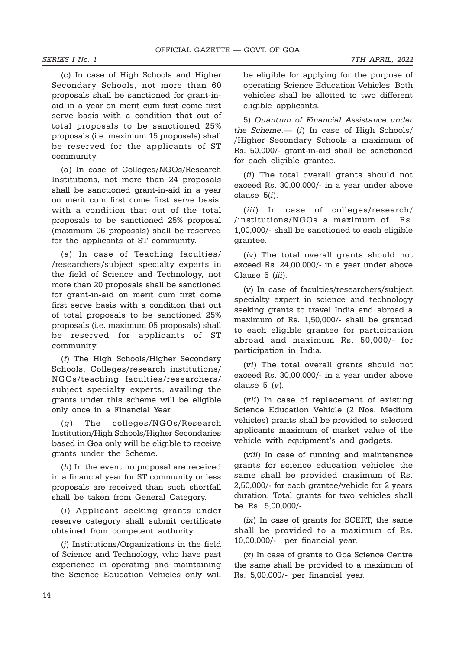(c) In case of High Schools and Higher Secondary Schools, not more than 60 proposals shall be sanctioned for grant-inaid in a year on merit cum first come first serve basis with a condition that out of total proposals to be sanctioned 25% proposals (i.e. maximum 15 proposals) shall be reserved for the applicants of ST community.

(d) In case of Colleges/NGOs/Research Institutions, not more than 24 proposals shall be sanctioned grant-in-aid in a year on merit cum first come first serve basis, with a condition that out of the total proposals to be sanctioned 25% proposal (maximum 06 proposals) shall be reserved for the applicants of ST community.

(e) In case of Teaching faculties/ /researchers/subject specialty experts in the field of Science and Technology, not more than 20 proposals shall be sanctioned for grant-in-aid on merit cum first come first serve basis with a condition that out of total proposals to be sanctioned 25% proposals (i.e. maximum 05 proposals) shall be reserved for applicants of ST community.

(f) The High Schools/Higher Secondary Schools, Colleges/research institutions/ NGOs/teaching faculties/researchers/ subject specialty experts, availing the grants under this scheme will be eligible only once in a Financial Year.

(g) The colleges/NGOs/Research Institution/High Schools/Higher Secondaries based in Goa only will be eligible to receive grants under the Scheme.

(h) In the event no proposal are received in a financial year for ST community or less proposals are received than such shortfall shall be taken from General Category.

(i) Applicant seeking grants under reserve category shall submit certificate obtained from competent authority.

(j) Institutions/Organizations in the field of Science and Technology, who have past experience in operating and maintaining the Science Education Vehicles only will be eligible for applying for the purpose of operating Science Education Vehicles. Both vehicles shall be allotted to two different eligible applicants.

5) Quantum of Financial Assistance under the Scheme. $-$  (i) In case of High Schools/ /Higher Secondary Schools a maximum of Rs. 50,000/- grant-in-aid shall be sanctioned for each eligible grantee.

(ii) The total overall grants should not exceed Rs. 30,00,000/- in a year under above clause 5(i).

(iii) In case of colleges/research/ /institutions/NGOs a maximum of Rs. 1,00,000/- shall be sanctioned to each eligible grantee.

(iv) The total overall grants should not exceed Rs. 24,00,000/- in a year under above Clause 5 (iii).

(v) In case of faculties/researchers/subject specialty expert in science and technology seeking grants to travel India and abroad a maximum of Rs. 1,50,000/- shall be granted to each eligible grantee for participation abroad and maximum Rs. 50,000/- for participation in India.

(vi) The total overall grants should not exceed Rs. 30,00,000/- in a year under above clause  $5 (v)$ .

(vii) In case of replacement of existing Science Education Vehicle (2 Nos. Medium vehicles) grants shall be provided to selected applicants maximum of market value of the vehicle with equipment's and gadgets.

(viii) In case of running and maintenance grants for science education vehicles the same shall be provided maximum of Rs. 2,50,000/- for each grantee/vehicle for 2 years duration. Total grants for two vehicles shall be Rs. 5,00,000/-.

 $(ix)$  In case of grants for SCERT, the same shall be provided to a maximum of Rs. 10,00,000/- per financial year.

(x) In case of grants to Goa Science Centre the same shall be provided to a maximum of Rs. 5,00,000/- per financial year.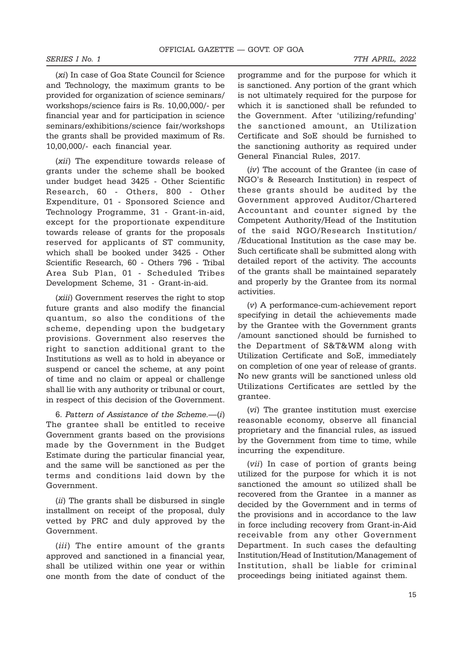(xi) In case of Goa State Council for Science and Technology, the maximum grants to be provided for organization of science seminars/ workshops/science fairs is Rs. 10,00,000/- per financial year and for participation in science seminars/exhibitions/science fair/workshops the grants shall be provided maximum of Rs. 10,00,000/- each financial year.

(xii) The expenditure towards release of grants under the scheme shall be booked under budget head 3425 - Other Scientific Research, 60 - Others, 800 - Other Expenditure, 01 - Sponsored Science and Technology Programme, 31 - Grant-in-aid, except for the proportionate expenditure towards release of grants for the proposals reserved for applicants of ST community, which shall be booked under 3425 - Other Scientific Research, 60 - Others 796 - Tribal Area Sub Plan, 01 - Scheduled Tribes Development Scheme, 31 - Grant-in-aid.

(xiii) Government reserves the right to stop future grants and also modify the financial quantum, so also the conditions of the scheme, depending upon the budgetary provisions. Government also reserves the right to sanction additional grant to the Institutions as well as to hold in abeyance or suspend or cancel the scheme, at any point of time and no claim or appeal or challenge shall lie with any authority or tribunal or court, in respect of this decision of the Government.

6. Pattern of Assistance of the Scheme.—(i) The grantee shall be entitled to receive Government grants based on the provisions made by the Government in the Budget Estimate during the particular financial year, and the same will be sanctioned as per the terms and conditions laid down by the Government.

(ii) The grants shall be disbursed in single installment on receipt of the proposal, duly vetted by PRC and duly approved by the Government.

(iii) The entire amount of the grants approved and sanctioned in a financial year, shall be utilized within one year or within one month from the date of conduct of the

programme and for the purpose for which it is sanctioned. Any portion of the grant which is not ultimately required for the purpose for which it is sanctioned shall be refunded to the Government. After 'utilizing/refunding' the sanctioned amount, an Utilization Certificate and SoE should be furnished to the sanctioning authority as required under General Financial Rules, 2017.

(iv) The account of the Grantee (in case of NGO's & Research Institution) in respect of these grants should be audited by the Government approved Auditor/Chartered Accountant and counter signed by the Competent Authority/Head of the Institution of the said NGO/Research Institution/ /Educational Institution as the case may be. Such certificate shall be submitted along with detailed report of the activity. The accounts of the grants shall be maintained separately and properly by the Grantee from its normal activities.

(v) A performance-cum-achievement report specifying in detail the achievements made by the Grantee with the Government grants /amount sanctioned should be furnished to the Department of S&T&WM along with Utilization Certificate and SoE, immediately on completion of one year of release of grants. No new grants will be sanctioned unless old Utilizations Certificates are settled by the grantee.

(vi) The grantee institution must exercise reasonable economy, observe all financial proprietary and the financial rules, as issued by the Government from time to time, while incurring the expenditure.

(vii) In case of portion of grants being utilized for the purpose for which it is not sanctioned the amount so utilized shall be recovered from the Grantee in a manner as decided by the Government and in terms of the provisions and in accordance to the law in force including recovery from Grant-in-Aid receivable from any other Government Department. In such cases the defaulting Institution/Head of Institution/Management of Institution, shall be liable for criminal proceedings being initiated against them.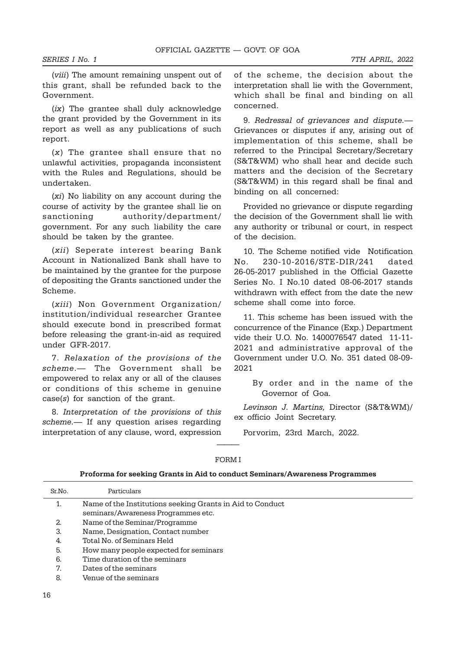(viii) The amount remaining unspent out of this grant, shall be refunded back to the Government.

(ix) The grantee shall duly acknowledge the grant provided by the Government in its report as well as any publications of such report.

(x) The grantee shall ensure that no unlawful activities, propaganda inconsistent with the Rules and Regulations, should be undertaken.

(xi) No liability on any account during the course of activity by the grantee shall lie on sanctioning authority/department/ government. For any such liability the care should be taken by the grantee.

(xii) Seperate interest bearing Bank Account in Nationalized Bank shall have to be maintained by the grantee for the purpose of depositing the Grants sanctioned under the Scheme.

(xiii) Non Government Organization/ institution/individual researcher Grantee should execute bond in prescribed format before releasing the grant-in-aid as required under GFR-2017.

7. Relaxation of the provisions of the scheme.— The Government shall be empowered to relax any or all of the clauses or conditions of this scheme in genuine case(s) for sanction of the grant.

8. Interpretation of the provisions of this scheme.— If any question arises regarding interpretation of any clause, word, expression

of the scheme, the decision about the interpretation shall lie with the Government, which shall be final and binding on all concerned.

9. Redressal of grievances and dispute.— Grievances or disputes if any, arising out of implementation of this scheme, shall be referred to the Principal Secretary/Secretary (S&T&WM) who shall hear and decide such matters and the decision of the Secretary (S&T&WM) in this regard shall be final and binding on all concerned:

Provided no grievance or dispute regarding the decision of the Government shall lie with any authority or tribunal or court, in respect of the decision.

10. The Scheme notified vide Notification No. 230-10-2016/STE-DIR/241 dated 26-05-2017 published in the Official Gazette Series No. I No.10 dated 08-06-2017 stands withdrawn with effect from the date the new scheme shall come into force.

11. This scheme has been issued with the concurrence of the Finance (Exp.) Department vide their U.O. No. 1400076547 dated 11-11- 2021 and administrative approval of the Government under U.O. No. 351 dated 08-09- 2021

> By order and in the name of the Governor of Goa.

Levinson J. Martins, Director (S&T&WM)/ ex officio Joint Secretary.

Porvorim, 23rd March, 2022.

|        | Proforma for seeking Grants in Aid to conduct Seminars/Awareness Programmes |
|--------|-----------------------------------------------------------------------------|
| Sr.No. | Particulars                                                                 |
|        | Name of the Institutions seeking Grants in Aid to Conduct                   |
|        | seminars/Awareness Programmes etc.                                          |
| 2.     | Name of the Seminar/Programme                                               |
| 3.     | Name, Designation, Contact number                                           |
| 4.     | Total No. of Seminars Held                                                  |
| 5.     | How many people expected for seminars                                       |
| 6.     | Time duration of the seminars                                               |
| 7.     | Dates of the seminars                                                       |
| 8.     | Venue of the seminars                                                       |

# ——— FORM I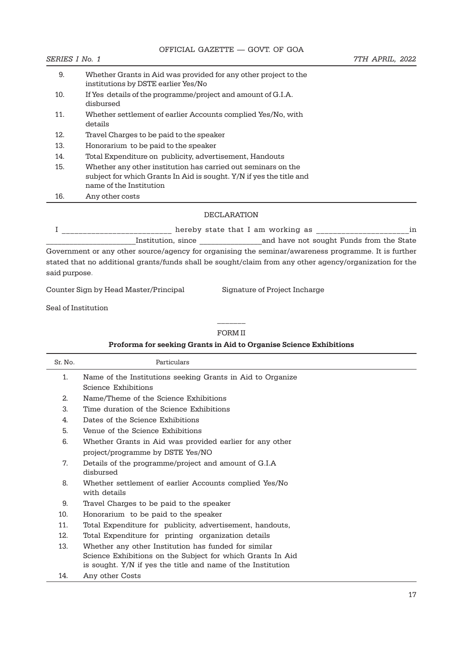| 9.  | Whether Grants in Aid was provided for any other project to the<br>institutions by DSTE earlier Yes/No                                                          |
|-----|-----------------------------------------------------------------------------------------------------------------------------------------------------------------|
| 10. | If Yes details of the programme/project and amount of G.I.A.<br>disbursed                                                                                       |
| 11. | Whether settlement of earlier Accounts complied Yes/No, with<br>details                                                                                         |
| 12. | Travel Charges to be paid to the speaker                                                                                                                        |
| 13. | Honorarium to be paid to the speaker                                                                                                                            |
| 14. | Total Expenditure on publicity, advertisement, Handouts                                                                                                         |
| 15. | Whether any other institution has carried out seminars on the<br>subject for which Grants In Aid is sought. Y/N if yes the title and<br>name of the Institution |
| 16. | Any other costs                                                                                                                                                 |

#### DECLARATION

I \_\_\_\_\_\_\_\_\_\_\_\_\_\_\_\_\_\_\_\_\_\_\_\_\_ hereby state that I am working as \_\_\_\_\_\_\_\_\_\_\_\_\_\_\_\_\_\_\_\_\_\_\_\_\_\_\_in Institution, since **Example 3** and have not sought Funds from the State Government or any other source/agency for organising the seminar/awareness programme. It is further stated that no additional grants/funds shall be sought/claim from any other agency/organization for the said purpose.

Counter Sign by Head Master/Principal Signature of Project Incharge

Seal of Institution

## $\overline{\phantom{a}}$ FORM II

|         | Proforma for seeking Grants in Aid to Organise Science Exhibitions     |  |  |  |  |
|---------|------------------------------------------------------------------------|--|--|--|--|
| Sr. No. | Particulars                                                            |  |  |  |  |
| 1.      | Name of the Institutions seeking Grants in Aid to Organize             |  |  |  |  |
|         | Science Exhibitions                                                    |  |  |  |  |
| 2.      | Name/Theme of the Science Exhibitions                                  |  |  |  |  |
| 3.      | Time duration of the Science Exhibitions                               |  |  |  |  |
| 4.      | Dates of the Science Exhibitions                                       |  |  |  |  |
| 5.      | Venue of the Science Exhibitions                                       |  |  |  |  |
| 6.      | Whether Grants in Aid was provided earlier for any other               |  |  |  |  |
|         | project/programme by DSTE Yes/NO                                       |  |  |  |  |
| 7.      | Details of the programme/project and amount of G.I.A<br>disbursed      |  |  |  |  |
| 8.      | Whether settlement of earlier Accounts complied Yes/No<br>with details |  |  |  |  |
| 9.      | Travel Charges to be paid to the speaker                               |  |  |  |  |
| 10.     | Honorarium to be paid to the speaker                                   |  |  |  |  |
| 11.     | Total Expenditure for publicity, advertisement, handouts,              |  |  |  |  |
| 12.     | Total Expenditure for printing organization details                    |  |  |  |  |
| 13.     | Whether any other Institution has funded for similar                   |  |  |  |  |
|         | Science Exhibitions on the Subject for which Grants In Aid             |  |  |  |  |
|         | is sought. Y/N if yes the title and name of the Institution            |  |  |  |  |

14. Any other Costs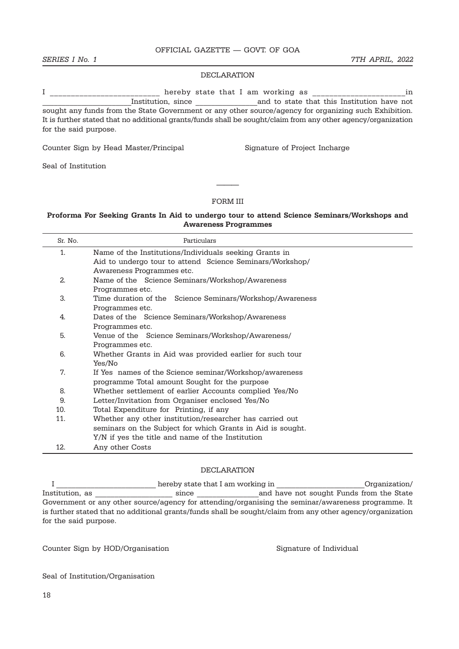SERIES I No. 1 7 and 10 and 2022 1 and 2022 1 and 2022 1 and 2022 1 and 2022 1 and 2022 1 and 2022 1  $\sigma$ 

#### DECLARATION

I \_\_\_\_\_\_\_\_\_\_\_\_\_\_\_\_\_\_\_\_\_\_\_\_\_\_ hereby state that I am working as \_\_\_\_\_\_\_\_\_\_\_\_\_\_\_\_\_\_\_\_\_\_in \_\_\_\_\_\_\_\_\_\_\_\_\_\_\_\_\_\_\_\_\_\_\_Institution, since \_\_\_\_\_\_\_\_\_\_\_\_\_\_\_\_and to state that this Institution have not sought any funds from the State Government or any other source/agency for organizing such Exhibition. It is further stated that no additional grants/funds shall be sought/claim from any other agency/organization for the said purpose.

Counter Sign by Head Master/Principal Signature of Project Incharge

Seal of Institution

#### FORM III

———

#### Proforma For Seeking Grants In Aid to undergo tour to attend Science Seminars/Workshops and Awareness Programmes

| Sr. No.                                                      | Particulars                                                |  |  |  |  |
|--------------------------------------------------------------|------------------------------------------------------------|--|--|--|--|
| 1.<br>Name of the Institutions/Individuals seeking Grants in |                                                            |  |  |  |  |
|                                                              | Aid to undergo tour to attend Science Seminars/Workshop/   |  |  |  |  |
|                                                              | Awareness Programmes etc.                                  |  |  |  |  |
| 2.                                                           | Name of the Science Seminars/Workshop/Awareness            |  |  |  |  |
|                                                              | Programmes etc.                                            |  |  |  |  |
| 3.                                                           | Time duration of the Science Seminars/Workshop/Awareness   |  |  |  |  |
|                                                              | Programmes etc.                                            |  |  |  |  |
| 4.                                                           | Dates of the Science Seminars/Workshop/Awareness           |  |  |  |  |
|                                                              | Programmes etc.                                            |  |  |  |  |
| 5.                                                           | Venue of the Science Seminars/Workshop/Awareness/          |  |  |  |  |
|                                                              | Programmes etc.                                            |  |  |  |  |
| 6.                                                           | Whether Grants in Aid was provided earlier for such tour   |  |  |  |  |
|                                                              | Yes/No                                                     |  |  |  |  |
| 7.                                                           | If Yes names of the Science seminar/Workshop/awareness     |  |  |  |  |
|                                                              | programme Total amount Sought for the purpose              |  |  |  |  |
| 8.                                                           | Whether settlement of earlier Accounts complied Yes/No     |  |  |  |  |
| 9.                                                           | Letter/Invitation from Organiser enclosed Yes/No           |  |  |  |  |
| 10.                                                          | Total Expenditure for Printing, if any                     |  |  |  |  |
| 11.                                                          | Whether any other institution/researcher has carried out   |  |  |  |  |
|                                                              | seminars on the Subject for which Grants in Aid is sought. |  |  |  |  |
|                                                              | Y/N if yes the title and name of the Institution           |  |  |  |  |
| 12.                                                          | Any other Costs                                            |  |  |  |  |

#### DECLARATION

I \_\_\_\_\_\_\_\_\_\_\_\_\_\_\_\_\_\_\_\_\_\_\_\_\_\_ hereby state that I am working in \_\_\_\_\_\_\_\_\_\_\_\_\_\_\_\_\_\_\_\_\_\_\_Organization/ Institution, and have not sought Funds from the State Government or any other source/agency for attending/organising the seminar/awareness programme. It is further stated that no additional grants/funds shall be sought/claim from any other agency/organization for the said purpose.

Counter Sign by HOD/Organisation Signature of Individual

Seal of Institution/Organisation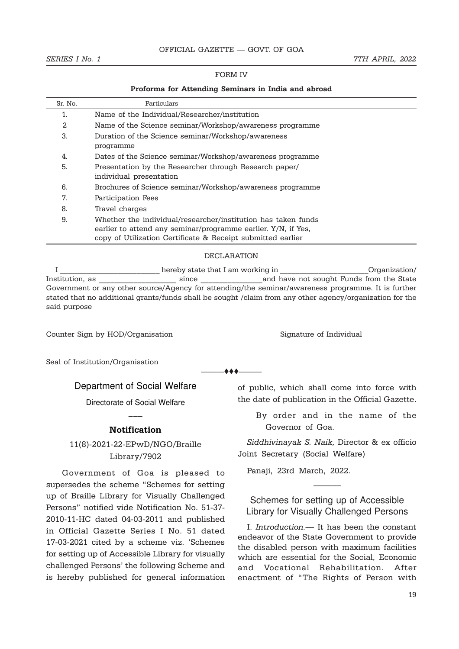#### SERIES I No. 1 7TH APRIL, 2022

#### FORM IV

#### Proforma for Attending Seminars in India and abroad

| Sr. No. | Particulars                                                                                                                                                                                   |
|---------|-----------------------------------------------------------------------------------------------------------------------------------------------------------------------------------------------|
| 1.      | Name of the Individual/Researcher/institution                                                                                                                                                 |
| 2       | Name of the Science seminar/Workshop/awareness programme                                                                                                                                      |
| 3.      | Duration of the Science seminar/Workshop/awareness<br>programme                                                                                                                               |
| 4.      | Dates of the Science seminar/Workshop/awareness programme                                                                                                                                     |
| 5.      | Presentation by the Researcher through Research paper/<br>individual presentation                                                                                                             |
| 6.      | Brochures of Science seminar/Workshop/awareness programme                                                                                                                                     |
| 7.      | Participation Fees                                                                                                                                                                            |
| 8.      | Travel charges                                                                                                                                                                                |
| 9.      | Whether the individual/researcher/institution has taken funds<br>earlier to attend any seminar/programme earlier. Y/N, if Yes,<br>copy of Utilization Certificate & Receipt submitted earlier |

#### DECLARATION

I consider the end of the best of the state that I am working in the constantion of  $\Gamma$ Institution, as \_\_\_\_\_\_\_\_\_\_\_\_\_\_\_\_\_\_\_\_ since \_\_\_\_\_\_\_\_\_\_\_\_\_\_\_\_and have not sought Funds from the State Government or any other source/Agency for attending/the seminar/awareness programme. It is further stated that no additional grants/funds shall be sought /claim from any other agency/organization for the said purpose

 $\clubsuit\spadesuit\spadesuit$ 

Counter Sign by HOD/Organisation Signature of Individual

Seal of Institution/Organisation

Department of Social Welfare

Directorate of Social Welfare

# ––– Notification

# 11(8)-2021-22-EPwD/NGO/Braille Library/7902

Government of Goa is pleased to supersedes the scheme "Schemes for setting up of Braille Library for Visually Challenged Persons" notified vide Notification No. 51-37- 2010-11-HC dated 04-03-2011 and published in Official Gazette Series I No. 51 dated 17-03-2021 cited by a scheme viz. 'Schemes for setting up of Accessible Library for visually challenged Persons' the following Scheme and is hereby published for general information of public, which shall come into force with the date of publication in the Official Gazette.

> By order and in the name of the Governor of Goa.

Siddhivinayak S. Naik, Director & ex officio Joint Secretary (Social Welfare)

Panaji, 23rd March, 2022.

# Schemes for setting up of Accessible Library for Visually Challenged Persons

——–––

I. Introduction.— It has been the constant endeavor of the State Government to provide the disabled person with maximum facilities which are essential for the Social, Economic and Vocational Rehabilitation. After enactment of "The Rights of Person with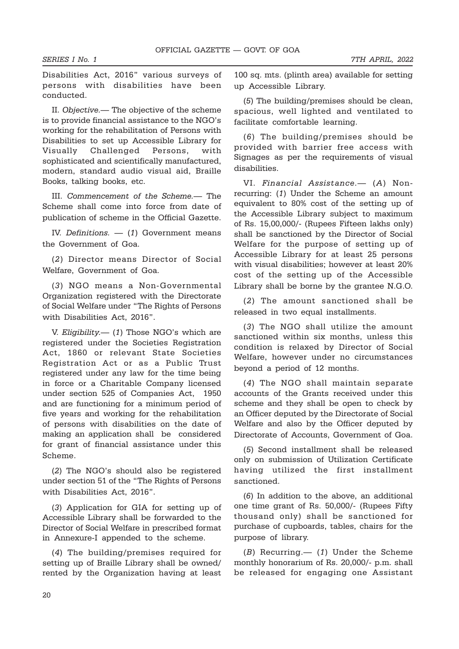Disabilities Act, 2016" various surveys of persons with disabilities have been conducted.

II. Objective.— The objective of the scheme is to provide financial assistance to the NGO's working for the rehabilitation of Persons with Disabilities to set up Accessible Library for Visually Challenged Persons, with sophisticated and scientifically manufactured, modern, standard audio visual aid, Braille Books, talking books, etc.

III. Commencement of the Scheme.— The Scheme shall come into force from date of publication of scheme in the Official Gazette.

IV. Definitions. — (1) Government means the Government of Goa.

(2) Director means Director of Social Welfare, Government of Goa.

(3) NGO means a Non-Governmental Organization registered with the Directorate of Social Welfare under "The Rights of Persons with Disabilities Act, 2016".

V. Eligibility.— (1) Those NGO's which are registered under the Societies Registration Act, 1860 or relevant State Societies Registration Act or as a Public Trust registered under any law for the time being in force or a Charitable Company licensed under section 525 of Companies Act, 1950 and are functioning for a minimum period of five years and working for the rehabilitation of persons with disabilities on the date of making an application shall be considered for grant of financial assistance under this Scheme.

(2) The NGO's should also be registered under section 51 of the "The Rights of Persons with Disabilities Act, 2016".

(3) Application for GIA for setting up of Accessible Library shall be forwarded to the Director of Social Welfare in prescribed format in Annexure-I appended to the scheme.

(4) The building/premises required for setting up of Braille Library shall be owned/ rented by the Organization having at least 100 sq. mts. (plinth area) available for setting up Accessible Library.

(5) The building/premises should be clean, spacious, well lighted and ventilated to facilitate comfortable learning.

(6) The building/premises should be provided with barrier free access with Signages as per the requirements of visual disabilities.

VI. Financial Assistance.— (A) Nonrecurring: (1) Under the Scheme an amount equivalent to 80% cost of the setting up of the Accessible Library subject to maximum of Rs. 15,00,000/- (Rupees Fifteen lakhs only) shall be sanctioned by the Director of Social Welfare for the purpose of setting up of Accessible Library for at least 25 persons with visual disabilities; however at least 20% cost of the setting up of the Accessible Library shall be borne by the grantee N.G.O.

(2) The amount sanctioned shall be released in two equal installments.

(3) The NGO shall utilize the amount sanctioned within six months, unless this condition is relaxed by Director of Social Welfare, however under no circumstances beyond a period of 12 months.

(4) The NGO shall maintain separate accounts of the Grants received under this scheme and they shall be open to check by an Officer deputed by the Directorate of Social Welfare and also by the Officer deputed by Directorate of Accounts, Government of Goa.

(5) Second installment shall be released only on submission of Utilization Certificate having utilized the first installment sanctioned.

(6) In addition to the above, an additional one time grant of Rs. 50,000/- (Rupees Fifty thousand only) shall be sanctioned for purchase of cupboards, tables, chairs for the purpose of library.

(B) Recurring.— (1) Under the Scheme monthly honorarium of Rs. 20,000/- p.m. shall be released for engaging one Assistant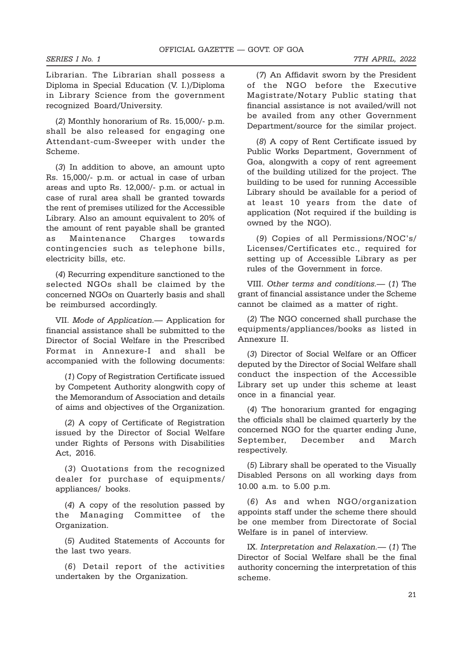Librarian. The Librarian shall possess a Diploma in Special Education (V. I.)/Diploma in Library Science from the government recognized Board/University.

(2) Monthly honorarium of Rs. 15,000/- p.m. shall be also released for engaging one Attendant-cum-Sweeper with under the Scheme.

(3) In addition to above, an amount upto Rs. 15,000/- p.m. or actual in case of urban areas and upto Rs. 12,000/- p.m. or actual in case of rural area shall be granted towards the rent of premises utilized for the Accessible Library. Also an amount equivalent to 20% of the amount of rent payable shall be granted as Maintenance Charges towards contingencies such as telephone bills, electricity bills, etc.

(4) Recurring expenditure sanctioned to the selected NGOs shall be claimed by the concerned NGOs on Quarterly basis and shall be reimbursed accordingly.

VII. Mode of Application.— Application for financial assistance shall be submitted to the Director of Social Welfare in the Prescribed Format in Annexure-I and shall be accompanied with the following documents:

(1) Copy of Registration Certificate issued by Competent Authority alongwith copy of the Memorandum of Association and details of aims and objectives of the Organization.

(2) A copy of Certificate of Registration issued by the Director of Social Welfare under Rights of Persons with Disabilities Act, 2016.

(3) Quotations from the recognized dealer for purchase of equipments/ appliances/ books.

(4) A copy of the resolution passed by the Managing Committee of the Organization.

(5) Audited Statements of Accounts for the last two years.

(6) Detail report of the activities undertaken by the Organization.

(7) An Affidavit sworn by the President of the NGO before the Executive Magistrate/Notary Public stating that financial assistance is not availed/will not be availed from any other Government Department/source for the similar project.

(8) A copy of Rent Certificate issued by Public Works Department, Government of Goa, alongwith a copy of rent agreement of the building utilized for the project. The building to be used for running Accessible Library should be available for a period of at least 10 years from the date of application (Not required if the building is owned by the NGO).

(9) Copies of all Permissions/NOC's/ Licenses/Certificates etc., required for setting up of Accessible Library as per rules of the Government in force.

VIII. Other terms and conditions.— (1) The grant of financial assistance under the Scheme cannot be claimed as a matter of right.

(2) The NGO concerned shall purchase the equipments/appliances/books as listed in Annexure II.

(3) Director of Social Welfare or an Officer deputed by the Director of Social Welfare shall conduct the inspection of the Accessible Library set up under this scheme at least once in a financial year.

(4) The honorarium granted for engaging the officials shall be claimed quarterly by the concerned NGO for the quarter ending June, September, December and March respectively.

(5) Library shall be operated to the Visually Disabled Persons on all working days from 10.00 a.m. to 5.00 p.m.

(6) As and when NGO/organization appoints staff under the scheme there should be one member from Directorate of Social Welfare is in panel of interview.

IX. Interpretation and Relaxation.— (1) The Director of Social Welfare shall be the final authority concerning the interpretation of this scheme.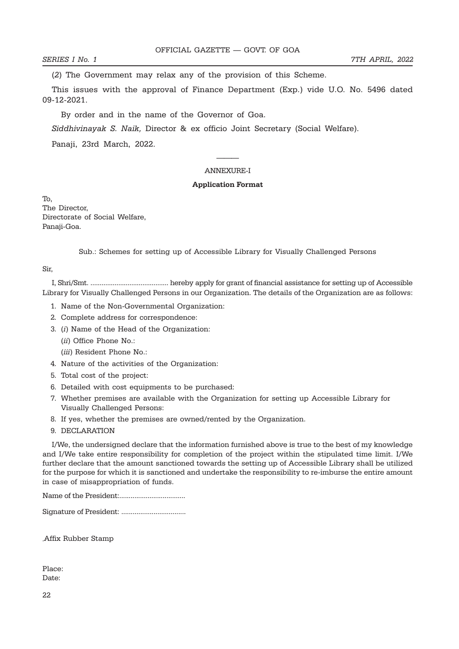(2) The Government may relax any of the provision of this Scheme.

This issues with the approval of Finance Department (Exp.) vide U.O. No. 5496 dated 09-12-2021.

By order and in the name of the Governor of Goa.

Siddhivinayak S. Naik, Director & ex officio Joint Secretary (Social Welfare).

Panaji, 23rd March, 2022.

### ——— ANNEXURE-I

#### Application Format

To, The Director, Directorate of Social Welfare, Panaji-Goa.

Sub.: Schemes for setting up of Accessible Library for Visually Challenged Persons

Sir,

I, Shri/Smt. .......................................... hereby apply for grant of financial assistance for setting up of Accessible Library for Visually Challenged Persons in our Organization. The details of the Organization are as follows:

- 1. Name of the Non-Governmental Organization:
- 2. Complete address for correspondence:
- 3. (i) Name of the Head of the Organization:
	- (ii) Office Phone No.:
	- (*iii*) Resident Phone No.:
- 4. Nature of the activities of the Organization:
- 5. Total cost of the project:
- 6. Detailed with cost equipments to be purchased:
- 7. Whether premises are available with the Organization for setting up Accessible Library for Visually Challenged Persons:
- 8. If yes, whether the premises are owned/rented by the Organization.
- 9. DECLARATION

I/We, the undersigned declare that the information furnished above is true to the best of my knowledge and I/We take entire responsibility for completion of the project within the stipulated time limit. I/We further declare that the amount sanctioned towards the setting up of Accessible Library shall be utilized for the purpose for which it is sanctioned and undertake the responsibility to re-imburse the entire amount in case of misappropriation of funds.

Name of the President:...................................

Signature of President: ..................................

,Affix Rubber Stamp

Place: Date: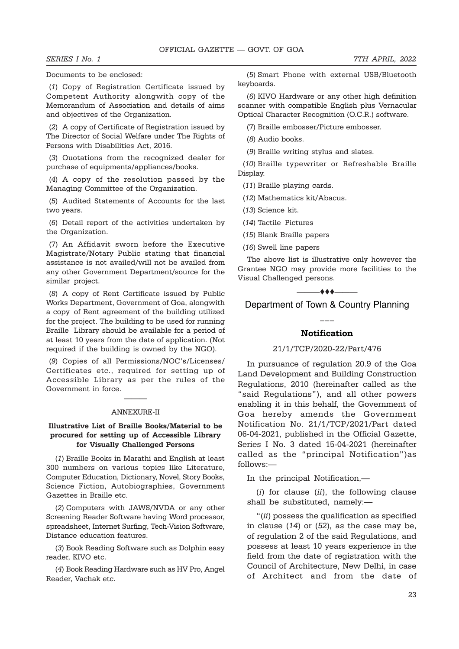Documents to be enclosed:

(1) Copy of Registration Certificate issued by Competent Authority alongwith copy of the Memorandum of Association and details of aims and objectives of the Organization.

(2) A copy of Certificate of Registration issued by The Director of Social Welfare under The Rights of Persons with Disabilities Act, 2016.

(3) Quotations from the recognized dealer for purchase of equipments/appliances/books.

(4) A copy of the resolution passed by the Managing Committee of the Organization.

(5) Audited Statements of Accounts for the last two years.

(6) Detail report of the activities undertaken by the Organization.

(7) An Affidavit sworn before the Executive Magistrate/Notary Public stating that financial assistance is not availed/will not be availed from any other Government Department/source for the similar project.

(8) A copy of Rent Certificate issued by Public Works Department, Government of Goa, alongwith a copy of Rent agreement of the building utilized for the project. The building to be used for running Braille Library should be available for a period of at least 10 years from the date of application. (Not required if the building is owned by the NGO).

(9) Copies of all Permissions/NOC's/Licenses/ Certificates etc., required for setting up of Accessible Library as per the rules of the Government in force.

# ——— ANNEXURE-II

#### Illustrative List of Braille Books/Material to be procured for setting up of Accessible Library for Visually Challenged Persons

(1) Braille Books in Marathi and English at least 300 numbers on various topics like Literature, Computer Education, Dictionary, Novel, Story Books, Science Fiction, Autobiographies, Government Gazettes in Braille etc.

(2) Computers with JAWS/NVDA or any other Screening Reader Software having Word processor, spreadsheet, Internet Surfing, Tech-Vision Software, Distance education features.

(3) Book Reading Software such as Dolphin easy reader, KIVO etc.

(4) Book Reading Hardware such as HV Pro, Angel Reader, Vachak etc.

(5) Smart Phone with external USB/Bluetooth keyboards.

(6) KIVO Hardware or any other high definition scanner with compatible English plus Vernacular Optical Character Recognition (O.C.R.) software.

(7) Braille embosser/Picture embosser.

(8) Audio books.

(9) Braille writing stylus and slates.

(10) Braille typewriter or Refreshable Braille Display.

(11) Braille playing cards.

(12) Mathematics kit/Abacus.

(13) Science kit.

(14) Tactile Pictures

(15) Blank Braille papers

(16) Swell line papers

The above list is illustrative only however the Grantee NGO may provide more facilities to the Visual Challenged persons.



Department of Town & Country Planning

# ––– **Notification**

#### 21/1/TCP/2020-22/Part/476

In pursuance of regulation 20.9 of the Goa Land Development and Building Construction Regulations, 2010 (hereinafter called as the "said Regulations"), and all other powers enabling it in this behalf, the Government of Goa hereby amends the Government Notification No. 21/1/TCP/2021/Part dated 06-04-2021, published in the Official Gazette, Series I No. 3 dated 15-04-2021 (hereinafter called as the "principal Notification")as follows:—

In the principal Notification,—

 $(i)$  for clause  $(ii)$ , the following clause shall be substituted, namely:—

"(*ii*) possess the qualification as specified in clause (14) or (52), as the case may be, of regulation 2 of the said Regulations, and possess at least 10 years experience in the field from the date of registration with the Council of Architecture, New Delhi, in case of Architect and from the date of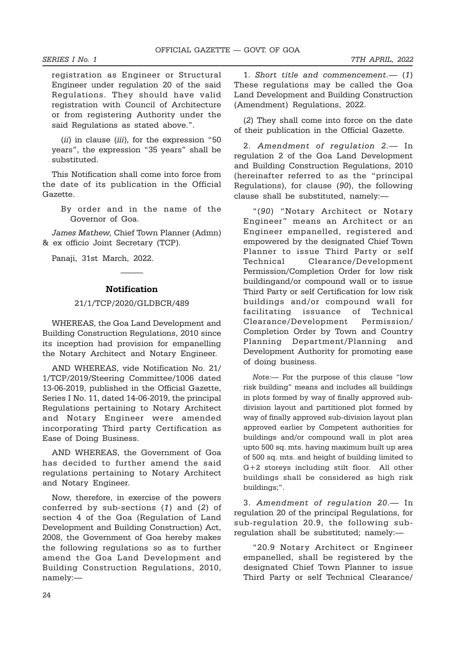registration as Engineer or Structural Engineer under regulation 20 of the said Regulations. They should have valid registration with Council of Architecture or from registering Authority under the said Regulations as stated above.".

(*ii*) in clause (*iii*), for the expression "50 years", the expression "35 years" shall be substituted.

This Notification shall come into force from the date of its publication in the Official Gazette.

> By order and in the name of the Governor of Goa.

James Mathew, Chief Town Planner (Admn) & ex officio Joint Secretary (TCP).

Panaji, 31st March, 2022.

#### Notification

———

#### 21/1/TCP/2020/GLDBCR/489

WHEREAS, the Goa Land Development and Building Construction Regulations, 2010 since its inception had provision for empanelling the Notary Architect and Notary Engineer.

AND WHEREAS, vide Notification No. 21/ 1/TCP/2019/Steering Committee/1006 dated 13-06-2019, published in the Official Gazette, Series I No. 11, dated 14-06-2019, the principal Regulations pertaining to Notary Architect and Notary Engineer were amended incorporating Third party Certification as Ease of Doing Business.

AND WHEREAS, the Government of Goa has decided to further amend the said regulations pertaining to Notary Architect and Notary Engineer.

Now, therefore, in exercise of the powers conferred by sub-sections (1) and (2) of section 4 of the Goa (Regulation of Land Development and Building Construction) Act, 2008, the Government of Goa hereby makes the following regulations so as to further amend the Goa Land Development and Building Construction Regulations, 2010, namely:—

1. Short title and commencement.— (1) These regulations may be called the Goa Land Development and Building Construction (Amendment) Regulations, 2022.

(2) They shall come into force on the date of their publication in the Official Gazette.

2. Amendment of regulation 2.— In regulation 2 of the Goa Land Development and Building Construction Regulations, 2010 (hereinafter referred to as the "principal Regulations), for clause (90), the following clause shall be substituted, namely:—

"(90) "Notary Architect or Notary Engineer" means an Architect or an Engineer empanelled, registered and empowered by the designated Chief Town Planner to issue Third Party or self Technical Clearance/Development Permission/Completion Order for low risk buildingand/or compound wall or to issue Third Party or self Certification for low risk buildings and/or compound wall for facilitating issuance of Technical Clearance/Development Permission/ Completion Order by Town and Country Planning Department/Planning and Development Authority for promoting ease of doing business.

Note:— For the purpose of this clause "low risk building" means and includes all buildings in plots formed by way of finally approved subdivision layout and partitioned plot formed by way of finally approved sub-division layout plan approved earlier by Competent authorities for buildings and/or compound wall in plot area upto 500 sq. mts. having maximum built up area of 500 sq. mts. and height of building limited to G+2 storeys including stilt floor. All other buildings shall be considered as high risk buildings;".

3. Amendment of regulation 20.— In regulation 20 of the principal Regulations, for sub-regulation 20.9, the following subregulation shall be substituted; namely:—

"20.9 Notary Architect or Engineer empanelled, shall be registered by the designated Chief Town Planner to issue Third Party or self Technical Clearance/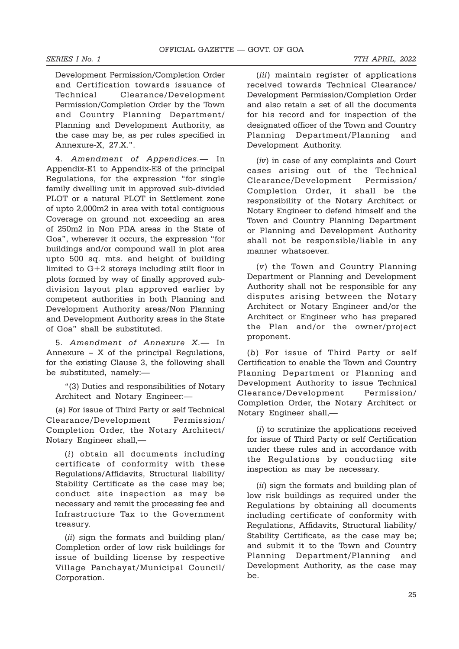Development Permission/Completion Order and Certification towards issuance of Technical Clearance/Development Permission/Completion Order by the Town and Country Planning Department/ Planning and Development Authority, as the case may be, as per rules specified in Annexure-X, 27.X.".

4. Amendment of Appendices.— In Appendix-E1 to Appendix-E8 of the principal Regulations, for the expression "for single family dwelling unit in approved sub-divided PLOT or a natural PLOT in Settlement zone of upto 2,000m2 in area with total contiguous Coverage on ground not exceeding an area of 250m2 in Non PDA areas in the State of Goa", wherever it occurs, the expression "for buildings and/or compound wall in plot area upto 500 sq. mts. and height of building limited to G+2 storeys including stilt floor in plots formed by way of finally approved subdivision layout plan approved earlier by competent authorities in both Planning and Development Authority areas/Non Planning and Development Authority areas in the State of Goa" shall be substituted.

5. Amendment of Annexure X.— In Annexure – X of the principal Regulations, for the existing Clause 3, the following shall be substituted, namely:—

"(3) Duties and responsibilities of Notary Architect and Notary Engineer:—

(a) For issue of Third Party or self Technical Clearance/Development Permission/ Completion Order, the Notary Architect/ Notary Engineer shall,—

(i) obtain all documents including certificate of conformity with these Regulations/Affidavits, Structural liability/ Stability Certificate as the case may be; conduct site inspection as may be necessary and remit the processing fee and Infrastructure Tax to the Government treasury.

(ii) sign the formats and building plan/ Completion order of low risk buildings for issue of building license by respective Village Panchayat/Municipal Council/ Corporation.

(*iii*) maintain register of applications received towards Technical Clearance/ Development Permission/Completion Order and also retain a set of all the documents for his record and for inspection of the designated officer of the Town and Country Planning Department/Planning and Development Authority.

(iv) in case of any complaints and Court cases arising out of the Technical Clearance/Development Permission/ Completion Order, it shall be the responsibility of the Notary Architect or Notary Engineer to defend himself and the Town and Country Planning Department or Planning and Development Authority shall not be responsible/liable in any manner whatsoever.

(v) the Town and Country Planning Department or Planning and Development Authority shall not be responsible for any disputes arising between the Notary Architect or Notary Engineer and/or the Architect or Engineer who has prepared the Plan and/or the owner/project proponent.

(b) For issue of Third Party or self Certification to enable the Town and Country Planning Department or Planning and Development Authority to issue Technical Clearance/Development Permission/ Completion Order, the Notary Architect or Notary Engineer shall,—

(i) to scrutinize the applications received for issue of Third Party or self Certification under these rules and in accordance with the Regulations by conducting site inspection as may be necessary.

(ii) sign the formats and building plan of low risk buildings as required under the Regulations by obtaining all documents including certificate of conformity with Regulations, Affidavits, Structural liability/ Stability Certificate, as the case may be; and submit it to the Town and Country Planning Department/Planning and Development Authority, as the case may be.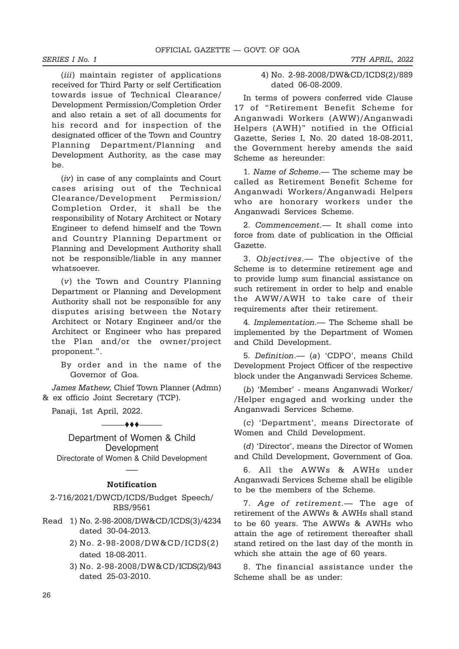(*iii*) maintain register of applications received for Third Party or self Certification towards issue of Technical Clearance/ Development Permission/Completion Order and also retain a set of all documents for his record and for inspection of the designated officer of the Town and Country Planning Department/Planning and Development Authority, as the case may be.

(iv) in case of any complaints and Court cases arising out of the Technical Clearance/Development Permission/ Completion Order, it shall be the responsibility of Notary Architect or Notary Engineer to defend himself and the Town and Country Planning Department or Planning and Development Authority shall not be responsible/liable in any manner whatsoever.

(v) the Town and Country Planning Department or Planning and Development Authority shall not be responsible for any disputes arising between the Notary Architect or Notary Engineer and/or the Architect or Engineer who has prepared the Plan and/or the owner/project proponent.".

By order and in the name of the Governor of Goa.

James Mathew, Chief Town Planner (Admn) & ex officio Joint Secretary (TCP).

Panaji, 1st April, 2022.

#### $\longrightarrow$

Department of Women & Child Development Directorate of Women & Child Development

# ––– Notification

2-716/2021/DWCD/ICDS/Budget Speech/ RBS/9561

- Read 1) No. 2-98-2008/DW&CD/ICDS(3)/4234 dated 30-04-2013.
	- 2) No. 2-98-2008/DW&CD/ICDS(2) dated 18-08-2011.
	- 3) No. 2-98-2008/DW&CD/ICDS(2)/843 dated 25-03-2010.

4) No. 2-98-2008/DW&CD/ICDS(2)/889 dated 06-08-2009.

In terms of powers conferred vide Clause 17 of "Retirement Benefit Scheme for Anganwadi Workers (AWW)/Anganwadi Helpers (AWH)" notified in the Official Gazette, Series I, No. 20 dated 18-08-2011, the Government hereby amends the said Scheme as hereunder:

1. Name of Scheme.— The scheme may be called as Retirement Benefit Scheme for Anganwadi Workers/Anganwadi Helpers who are honorary workers under the Anganwadi Services Scheme.

2. Commencement.— It shall come into force from date of publication in the Official Gazette.

3. Objectives.— The objective of the Scheme is to determine retirement age and to provide lump sum financial assistance on such retirement in order to help and enable the AWW/AWH to take care of their requirements after their retirement.

4. Implementation.— The Scheme shall be implemented by the Department of Women and Child Development.

5. Definition.— (a) 'CDPO', means Child Development Project Officer of the respective block under the Anganwadi Services Scheme.

(b) 'Member' - means Anganwadi Worker/ /Helper engaged and working under the Anganwadi Services Scheme.

(c) 'Department', means Directorate of Women and Child Development.

(d) 'Director', means the Director of Women and Child Development, Government of Goa.

6. All the AWWs & AWHs under Anganwadi Services Scheme shall be eligible to be the members of the Scheme.

7. Age of retirement.— The age of retirement of the AWWs & AWHs shall stand to be 60 years. The AWWs & AWHs who attain the age of retirement thereafter shall stand retired on the last day of the month in which she attain the age of 60 years.

8. The financial assistance under the Scheme shall be as under: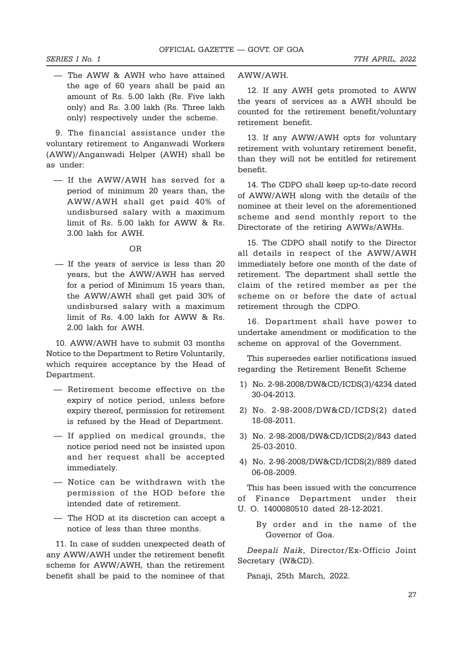— The AWW & AWH who have attained the age of 60 years shall be paid an amount of Rs. 5.00 lakh (Rs. Five lakh only) and Rs. 3.00 lakh (Rs. Three lakh only) respectively under the scheme.

9. The financial assistance under the voluntary retirement to Anganwadi Workers (AWW)/Anganwadi Helper (AWH) shall be as under:

— If the AWW/AWH has served for a period of minimum 20 years than, the AWW/AWH shall get paid 40% of undisbursed salary with a maximum limit of Rs. 5.00 lakh for AWW & Rs. 3.00 lakh for AWH.

#### OR

 — If the years of service is less than 20 years, but the AWW/AWH has served for a period of Minimum 15 years than, the AWW/AWH shall get paid 30% of undisbursed salary with a maximum limit of Rs. 4.00 lakh for AWW & Rs. 2.00 lakh for AWH.

10. AWW/AWH have to submit 03 months Notice to the Department to Retire Voluntarily, which requires acceptance by the Head of Department.

- Retirement become effective on the expiry of notice period, unless before expiry thereof, permission for retirement is refused by the Head of Department.
- If applied on medical grounds, the notice period need not be insisted upon and her request shall be accepted immediately.
- Notice can be withdrawn with the permission of the HOD before the intended date of retirement.
- The HOD at its discretion can accept a notice of less than three months.

11. In case of sudden unexpected death of any AWW/AWH under the retirement benefit scheme for AWW/AWH, than the retirement benefit shall be paid to the nominee of that AWW/AWH.

12. If any AWH gets promoted to AWW the years of services as a AWH should be counted for the retirement benefit/voluntary retirement benefit.

13. If any AWW/AWH opts for voluntary retirement with voluntary retirement benefit, than they will not be entitled for retirement benefit.

14. The CDPO shall keep up-to-date record of AWW/AWH along with the details of the nominee at their level on the aforementioned scheme and send monthly report to the Directorate of the retiring AWWs/AWHs.

15. The CDPO shall notify to the Director all details in respect of the AWW/AWH immediately before one month of the date of retirement. The department shall settle the claim of the retired member as per the scheme on or before the date of actual retirement through the CDPO.

16. Department shall have power to undertake amendment or modification to the scheme on approval of the Government.

This supersedes earlier notifications issued regarding the Retirement Benefit Scheme

- 1) No. 2-98-2008/DW&CD/ICDS(3)/4234 dated 30-04-2013.
- 2) No. 2-98-2008/DW&CD/ICDS(2) dated 18-08-2011.
- 3) No. 2-98-2008/DW&CD/ICDS(2)/843 dated 25-03-2010.
- 4) No. 2-98-2008/DW&CD/ICDS(2)/889 dated 06-08-2009.

This has been issued with the concurrence of Finance Department under their U. O. 1400080510 dated 28-12-2021.

By order and in the name of the

Governor of Goa. Deepali Naik, Director/Ex-Officio Joint Secretary (W&CD).

Panaji, 25th March, 2022.